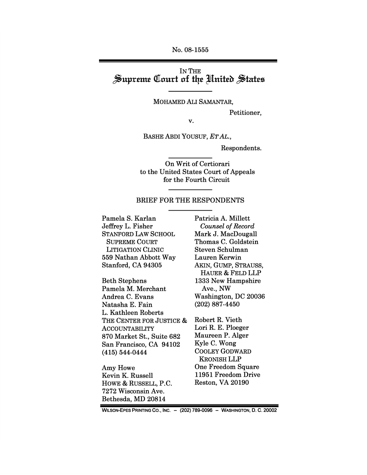No. 08-1555

## IN THE Supreme Court of the United States

MOHAMED ALI SAMANTAR,

Petitioner,

v.

BASHE ABDI YOUSUF, ET AL.,

Respondents.

On Writ of Certiorari to the United States Court of Appeals for the Fourth Circuit

#### BRIEF FOR THE RESPONDENTS

Pamela S. Karlan Jeffrey L. Fisher **STANFORD LAW SCHOOL SUPREME COURT LITIGATION CLINIC** 559 Nathan Abbott Way Stanford, CA 94305

**Beth Stephens** Pamela M. Merchant Andrea C. Evans Natasha E. Fain L. Kathleen Roberts THE CENTER FOR JUSTICE & **ACCOUNTABILITY** 870 Market St., Suite 682 San Francisco, CA 94102  $(415) 544 - 0444$ 

Amy Howe Kevin K. Russell HOWE & RUSSELL, P.C. 7272 Wisconsin Ave. Bethesda, MD 20814

Patricia A. Millett **Counsel of Record** Mark J. MacDougall Thomas C. Goldstein Steven Schulman Lauren Kerwin AKIN, GUMP, STRAUSS, HAUER & FELD LLP 1333 New Hampshire Ave., NW Washington, DC 20036  $(202)$  887-4450

Robert R. Vieth Lori R. E. Ploeger Maureen P. Alger Kyle C. Wong **COOLEY GODWARD KRONISH LLP One Freedom Square** 11951 Freedom Drive Reston, VA 20190

WILSON-EPES PRINTING CO., INC. - (202) 789-0096 - WASHINGTON, D. C. 20002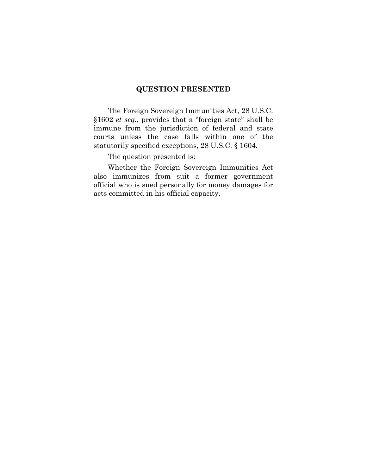#### **QUESTION PRESENTED**

The Foreign Sovereign Immunities Act, 28 U.S.C. §1602 *et seq.*, provides that a "foreign state" shall be immune from the jurisdiction of federal and state courts unless the case falls within one of the statutorily specified exceptions, 28 U.S.C. § 1604.

The question presented is:

Whether the Foreign Sovereign Immunities Act also immunizes from suit a former government official who is sued personally for money damages for acts committed in his official capacity.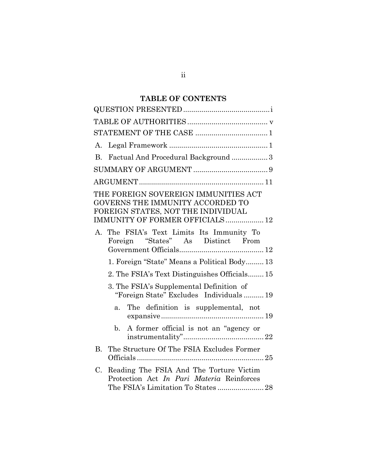## **TABLE OF CONTENTS**

| A.                                                                                                                                                |
|---------------------------------------------------------------------------------------------------------------------------------------------------|
| Factual And Procedural Background 3<br>$B_{\cdot}$                                                                                                |
|                                                                                                                                                   |
|                                                                                                                                                   |
| THE FOREIGN SOVEREIGN IMMUNITIES ACT<br>GOVERNS THE IMMUNITY ACCORDED TO<br>FOREIGN STATES, NOT THE INDIVIDUAL<br>IMMUNITY OF FORMER OFFICIALS 12 |
| A. The FSIA's Text Limits Its Immunity To<br>Foreign "States" As Distinct From                                                                    |
| 1. Foreign "State" Means a Political Body 13                                                                                                      |
| 2. The FSIA's Text Distinguishes Officials 15                                                                                                     |
| 3. The FSIA's Supplemental Definition of<br>"Foreign State" Excludes Individuals 19<br>The definition is supplemental, not<br>a <sub>z</sub>      |
|                                                                                                                                                   |
| A former official is not an "agency or<br>$\mathbf{b}$ .                                                                                          |
| The Structure Of The FSIA Excludes Former<br><b>B.</b>                                                                                            |
| Reading The FSIA And The Torture Victim<br>$C_{\cdot}$<br>Protection Act In Pari Materia Reinforces<br>The FSIA's Limitation To States  28        |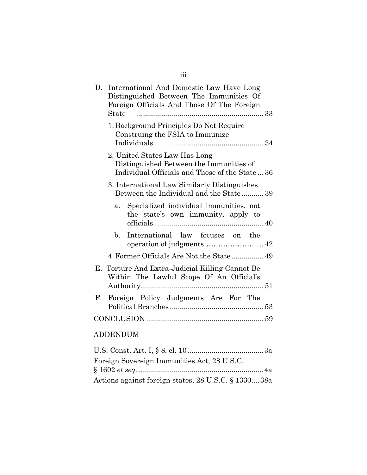| D. International And Domestic Law Have Long<br>Distinguished Between The Immunities Of<br>Foreign Officials And Those Of The Foreign<br>State |
|-----------------------------------------------------------------------------------------------------------------------------------------------|
| 1. Background Principles Do Not Require<br>Construing the FSIA to Immunize                                                                    |
| 2. United States Law Has Long<br>Distinguished Between the Immunities of<br>Individual Officials and Those of the State  36                   |
| 3. International Law Similarly Distinguishes<br>Between the Individual and the State39                                                        |
| Specialized individual immunities, not<br>$a_{\cdot}$<br>the state's own immunity, apply to                                                   |
| International law focuses on the<br>$h_{-}$                                                                                                   |
| 4. Former Officials Are Not the State 49                                                                                                      |
| E. Torture And Extra-Judicial Killing Cannot Be<br>Within The Lawful Scope Of An Official's                                                   |
| Foreign Policy Judgments Are For The<br>$\mathbf{F}_{\cdot}$                                                                                  |
|                                                                                                                                               |
| <b>ADDENDUM</b>                                                                                                                               |

## U.S. Const. Art. I, § 8, cl. 10......................................3a Foreign Sovereign Immunities Act, 28 U.S.C. § 1602 *et seq.* ..............................................................4a Actions against foreign states, 28 U.S.C. § 1330....38a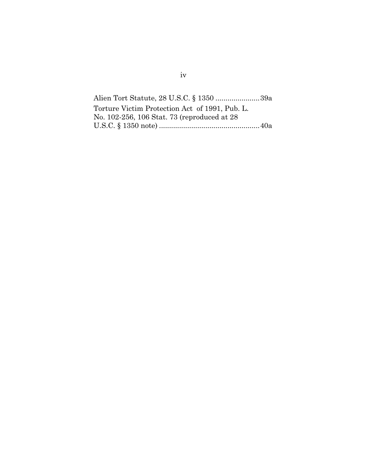Alien Tort Statute, 28 U.S.C. § 1350 ......................39a Torture Victim Protection Act of 1991, Pub. L. No. 102-256, 106 Stat. 73 (reproduced at 28 U.S.C. § 1350 note) ..................................................40a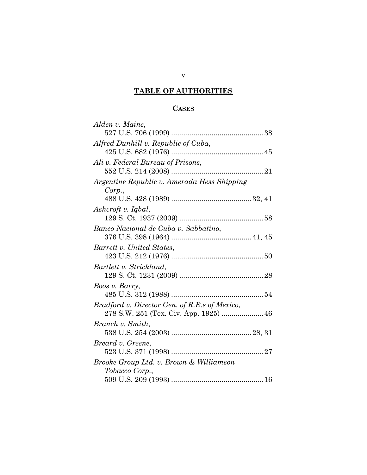# **TABLE OF AUTHORITIES**

## **CASES**

| Alden v. Maine,                               |
|-----------------------------------------------|
|                                               |
| Alfred Dunhill v. Republic of Cuba,           |
|                                               |
| Ali v. Federal Bureau of Prisons,             |
|                                               |
| Argentine Republic v. Amerada Hess Shipping   |
| Corp.,                                        |
|                                               |
| Ashcroft v. Iqbal,                            |
|                                               |
| Banco Nacional de Cuba v. Sabbatino,          |
|                                               |
| Barrett v. United States,                     |
| Bartlett v. Strickland,                       |
|                                               |
| Boos v. Barry,                                |
|                                               |
| Bradford v. Director Gen. of R.R.s of Mexico, |
| 278 S.W. 251 (Tex. Civ. App. 1925)  46        |
| Branch v. Smith,                              |
|                                               |
| Breard v. Greene,                             |
|                                               |
| Brooke Group Ltd. v. Brown & Williamson       |
| Tobacco Corp.,                                |
|                                               |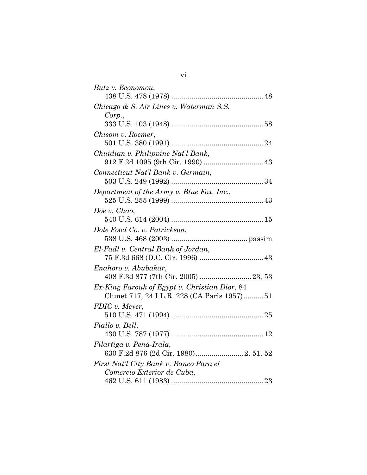| Butz v. Economou,                             |
|-----------------------------------------------|
|                                               |
| Chicago & S. Air Lines v. Waterman S.S.       |
| Corp.,                                        |
|                                               |
| Chisom v. Roemer,                             |
|                                               |
| Chuidian v. Philippine Nat'l Bank,            |
|                                               |
| Connecticut Nat'l Bank v. Germain,            |
|                                               |
| Department of the Army v. Blue Fox, Inc.,     |
|                                               |
| Doe v. Chao,                                  |
|                                               |
| Dole Food Co. v. Patrickson,                  |
|                                               |
| El-Fadl v. Central Bank of Jordan,            |
|                                               |
| Enahoro v. Abubakar,                          |
| 408 F.3d 877 (7th Cir. 2005) 23, 53           |
| Ex-King Farouk of Egypt v. Christian Dior, 84 |
| Clunet 717, 24 I.L.R. 228 (CA Paris 1957)51   |
| FDIC v. Meyer,                                |
|                                               |
| Fiallo v. Bell,                               |
|                                               |
| Filartiga v. Pena-Irala,                      |
| 630 F.2d 876 (2d Cir. 1980) 2, 51, 52         |
| First Nat'l City Bank v. Banco Para el        |
| Comercio Exterior de Cuba,                    |
|                                               |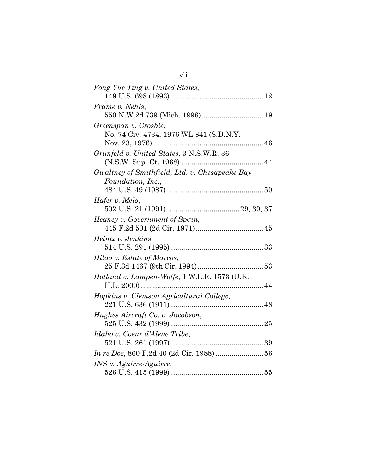| Fong Yue Ting v. United States,                |
|------------------------------------------------|
|                                                |
| Frame v. Nehls,                                |
|                                                |
| Greenspan v. Crosbie,                          |
| No. 74 Civ. 4734, 1976 WL 841 (S.D.N.Y.        |
|                                                |
| Grunfeld v. United States, 3 N.S.W.R. 36       |
|                                                |
| Gwaltney of Smithfield, Ltd. v. Chesapeake Bay |
| Foundation, Inc.,                              |
|                                                |
| Hafer v. Melo,                                 |
|                                                |
| Heaney v. Government of Spain,                 |
|                                                |
| Heintz v. Jenkins,                             |
|                                                |
| Hilao v. Estate of Marcos,                     |
|                                                |
| Holland v. Lampen-Wolfe, 1 W.L.R. 1573 (U.K.   |
|                                                |
| Hopkins v. Clemson Agricultural College,       |
|                                                |
| Hughes Aircraft Co. v. Jacobson,               |
|                                                |
| Idaho v. Coeur d'Alene Tribe,                  |
|                                                |
|                                                |
| INS v. Aguirre-Aguirre,                        |
|                                                |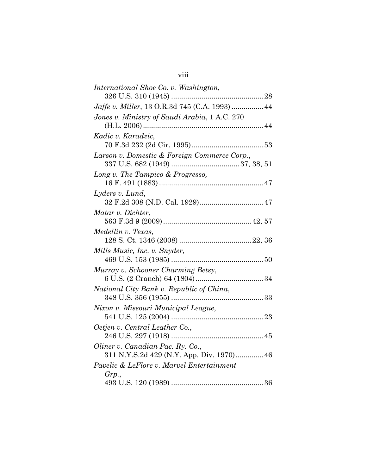| International Shoe Co. v. Washington,          |
|------------------------------------------------|
|                                                |
| Jaffe v. Miller, 13 O.R.3d 745 (C.A. 1993)  44 |
| Jones v. Ministry of Saudi Arabia, 1 A.C. 270  |
|                                                |
| Kadic v. Karadzic,                             |
|                                                |
| Larson v. Domestic & Foreign Commerce Corp.,   |
|                                                |
| Long v. The Tampico & Progresso,               |
|                                                |
| Lyders v. Lund,                                |
|                                                |
| Matar v. Dichter,                              |
|                                                |
| Medellin v. Texas,                             |
|                                                |
| Mills Music, Inc. v. Snyder,                   |
|                                                |
| Murray v. Schooner Charming Betsy,             |
|                                                |
| National City Bank v. Republic of China,       |
|                                                |
| Nixon v. Missouri Municipal League,            |
|                                                |
| Oetjen v. Central Leather Co.,                 |
|                                                |
| Oliner v. Canadian Pac. Ry. Co.,               |
| 311 N.Y.S.2d 429 (N.Y. App. Div. 1970) 46      |
| Pavelic & LeFlore v. Marvel Entertainment      |
| Grp.,                                          |
|                                                |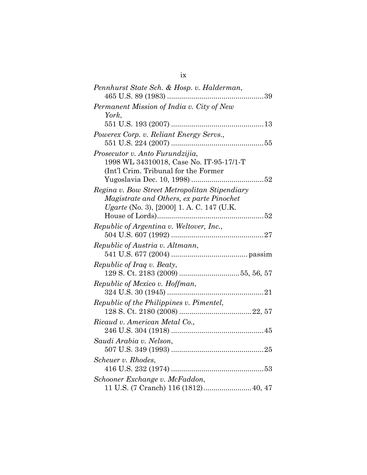| Pennhurst State Sch. & Hosp. v. Halderman,                                                                                             |
|----------------------------------------------------------------------------------------------------------------------------------------|
| Permanent Mission of India v. City of New<br>York,                                                                                     |
|                                                                                                                                        |
| Powerex Corp. v. Reliant Energy Servs.,                                                                                                |
| Prosecutor v. Anto Furundzijia,<br>1998 WL 34310018, Case No. IT-95-17/1-T<br>(Int'l Crim. Tribunal for the Former                     |
| Regina v. Bow Street Metropolitan Stipendiary<br>Magistrate and Others, ex parte Pinochet<br>Ugarte (No. 3), [2000] 1. A. C. 147 (U.K. |
| Republic of Argentina v. Weltover, Inc.,                                                                                               |
|                                                                                                                                        |
| Republic of Austria v. Altmann,                                                                                                        |
|                                                                                                                                        |
| Republic of Iraq v. Beaty,                                                                                                             |
|                                                                                                                                        |
| Republic of Mexico v. Hoffman,                                                                                                         |
|                                                                                                                                        |
| Republic of the Philippines v. Pimentel,                                                                                               |
|                                                                                                                                        |
| Ricaud v. American Metal Co.,                                                                                                          |
| Saudi Arabia v. Nelson,                                                                                                                |
| Scheuer v. Rhodes,                                                                                                                     |
| Schooner Exchange v. McFaddon,                                                                                                         |
| 11 U.S. (7 Cranch) 116 (1812) 40, 47                                                                                                   |

ix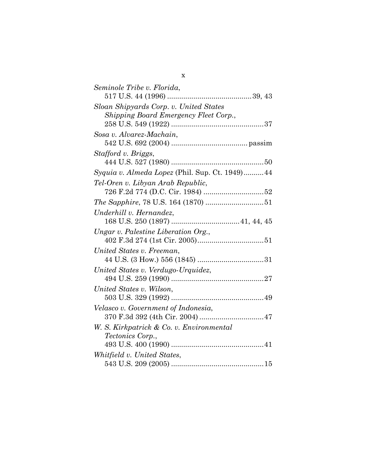| Seminole Tribe v. Florida,                      |
|-------------------------------------------------|
|                                                 |
| Sloan Shipyards Corp. v. United States          |
| Shipping Board Emergency Fleet Corp.,           |
|                                                 |
| Sosa v. Alvarez-Machain,                        |
|                                                 |
| Stafford v. Briggs,                             |
|                                                 |
| Syquia v. Almeda Lopez (Phil. Sup. Ct. 1949) 44 |
| Tel-Oren v. Libyan Arab Republic,               |
|                                                 |
|                                                 |
| Underhill v. Hernandez,                         |
|                                                 |
| Ungar v. Palestine Liberation Org.,             |
|                                                 |
| United States v. Freeman,                       |
|                                                 |
| United States v. Verdugo-Urquidez,              |
|                                                 |
| United States v. Wilson,                        |
|                                                 |
| Velasco v. Government of Indonesia,             |
| 370 F.3d 392 (4th Cir. 2004)  47                |
| W. S. Kirkpatrick & Co. v. Environmental        |
| <i>Tectonics Corp.,</i>                         |
|                                                 |
| Whitfield v. United States,                     |
|                                                 |

x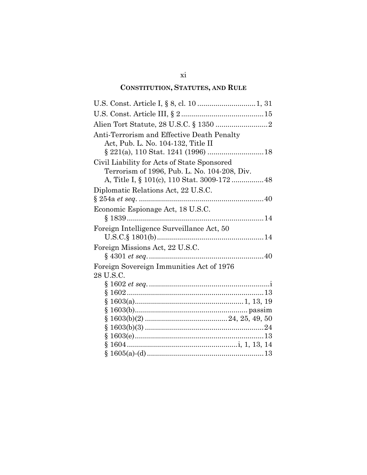# **CONSTITUTION, STATUTES, AND RULE**

| Anti-Terrorism and Effective Death Penalty<br>Act, Pub. L. No. 104-132, Title II            |
|---------------------------------------------------------------------------------------------|
|                                                                                             |
| Civil Liability for Acts of State Sponsored<br>Terrorism of 1996, Pub. L. No. 104-208, Div. |
| Diplomatic Relations Act, 22 U.S.C.                                                         |
|                                                                                             |
| Economic Espionage Act, 18 U.S.C.                                                           |
| Foreign Intelligence Surveillance Act, 50                                                   |
| Foreign Missions Act, 22 U.S.C.                                                             |
| Foreign Sovereign Immunities Act of 1976<br>28 U.S.C.                                       |
|                                                                                             |
|                                                                                             |
|                                                                                             |
|                                                                                             |
|                                                                                             |
|                                                                                             |
|                                                                                             |
|                                                                                             |
|                                                                                             |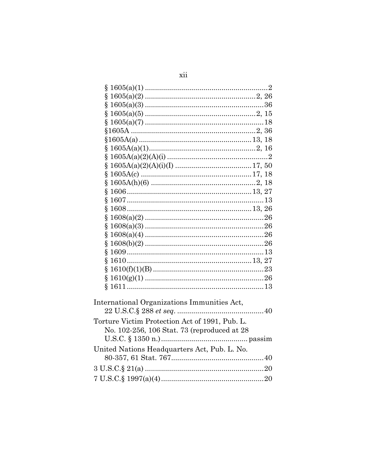| Ş                                              |  |
|------------------------------------------------|--|
| ş                                              |  |
| ş                                              |  |
| Ş                                              |  |
| Ş                                              |  |
|                                                |  |
|                                                |  |
| §.                                             |  |
| ş                                              |  |
| Ş                                              |  |
|                                                |  |
| ş                                              |  |
| ş                                              |  |
| ş                                              |  |
| ş                                              |  |
| ş                                              |  |
| Ş                                              |  |
| Ş                                              |  |
| Ş                                              |  |
| Ş                                              |  |
| Ş                                              |  |
| Ş                                              |  |
| Ş                                              |  |
|                                                |  |
|                                                |  |
| International Organizations Immunities Act,    |  |
|                                                |  |
| Torture Victim Protection Act of 1991, Pub. L. |  |
| No. 102-256, 106 Stat. 73 (reproduced at 28    |  |
|                                                |  |
| United Nations Headquarters Act, Pub. L. No.   |  |
|                                                |  |
|                                                |  |
|                                                |  |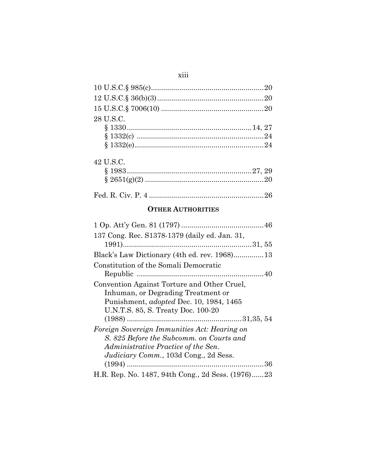| 28 U.S.C. |  |
|-----------|--|
|           |  |
|           |  |
|           |  |
|           |  |

| 42 U.S.C. |  |
|-----------|--|
|           |  |
|           |  |
|           |  |
|           |  |

## **OTHER AUTHORITIES**

| 137 Cong. Rec. S1378-1379 (daily ed. Jan. 31,                                                                                                                                    |
|----------------------------------------------------------------------------------------------------------------------------------------------------------------------------------|
|                                                                                                                                                                                  |
|                                                                                                                                                                                  |
| Constitution of the Somali Democratic                                                                                                                                            |
|                                                                                                                                                                                  |
| Convention Against Torture and Other Cruel,<br>Inhuman, or Degrading Treatment or<br>Punishment, <i>adopted</i> Dec. 10, 1984, 1465                                              |
| U.N.T.S. 85, S. Treaty Doc. 100-20                                                                                                                                               |
|                                                                                                                                                                                  |
| Foreign Sovereign Immunities Act: Hearing on<br>S. 825 Before the Subcomm. on Courts and<br>Administrative Practice of the Sen.<br><i>Judiciary Comm.</i> , 103d Cong., 2d Sess. |
|                                                                                                                                                                                  |
| H.R. Rep. No. 1487, 94th Cong., 2d Sess. (1976)23                                                                                                                                |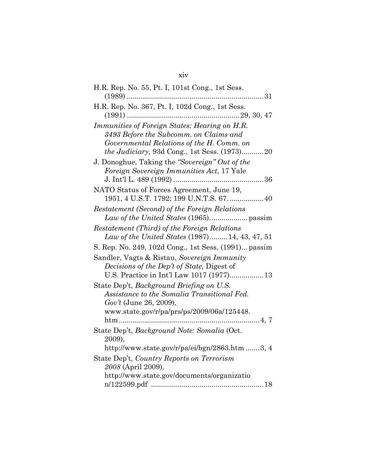## xiv

| H.R. Rep. No. 55, Pt. I, 101st Cong., 1st Sess.                                         |
|-----------------------------------------------------------------------------------------|
|                                                                                         |
| H.R. Rep. No. 367, Pt. I, 102d Cong., 1st Sess.                                         |
|                                                                                         |
| Immunities of Foreign States: Hearing on H.R.<br>3493 Before the Subcomm. on Claims and |
| Governmental Relations of the H. Comm. on                                               |
| <i>the Judiciary</i> , 93d Cong., 1st Sess. (1973)20                                    |
| J. Donoghue, Taking the "Sovereign" Out of the                                          |
| Foreign Sovereign Immunities Act, 17 Yale                                               |
|                                                                                         |
| NATO Status of Forces Agreement, June 19,                                               |
| 1951, 4 U.S.T. 1792; 199 U.N.T.S. 67.  40                                               |
| Restatement (Second) of the Foreign Relations                                           |
|                                                                                         |
| Restatement (Third) of the Foreign Relations                                            |
| Law of the United States (1987) 14, 43, 47, 51                                          |
| S. Rep. No. 249, 102d Cong., 1st Sess. (1991) passim                                    |
| Sandler, Vagts & Ristau, Sovereign Immunity                                             |
| Decisions of the Dep't of State, Digest of                                              |
| U.S. Practice in Int'l Law 1017 (1977)13                                                |
| State Dep't, Background Briefing on U.S.                                                |
| Assistance to the Somalia Transitional Fed.                                             |
| Gov't (June 26, 2009),                                                                  |
| www.state.gov/r/pa/prs/ps/2009/06a/125448.                                              |
|                                                                                         |
| State Dep't, Background Note: Somalia (Oct.                                             |
| 2009),                                                                                  |
| http://www.state.gov/r/pa/ei/bgn/2863.htm 3, 4                                          |
| State Dep't, Country Reports on Terrorism                                               |
| 2008 (April 2009),                                                                      |
| http://www.state.gov/documents/organizatio                                              |
|                                                                                         |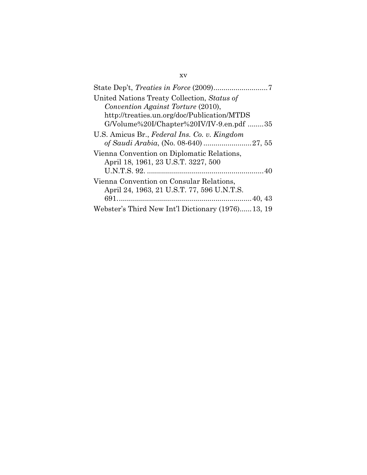| United Nations Treaty Collection, Status of       |
|---------------------------------------------------|
| Convention Against Torture (2010),                |
| http://treaties.un.org/doc/Publication/MTDS       |
| G/Volume%20I/Chapter%20IV/IV-9.en.pdf 35          |
| U.S. Amicus Br., Federal Ins. Co. v. Kingdom      |
|                                                   |
| Vienna Convention on Diplomatic Relations,        |
| April 18, 1961, 23 U.S.T. 3227, 500               |
|                                                   |
| Vienna Convention on Consular Relations,          |
| April 24, 1963, 21 U.S.T. 77, 596 U.N.T.S.        |
|                                                   |
| Webster's Third New Int'l Dictionary (1976)13, 19 |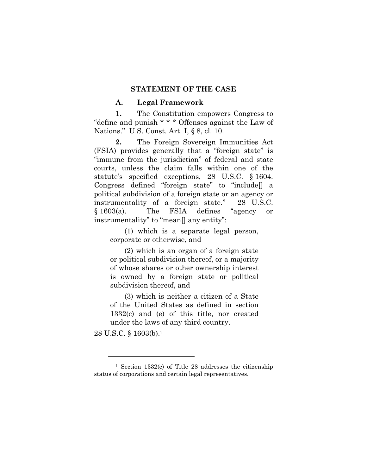#### **STATEMENT OF THE CASE**

#### **A. Legal Framework**

**1.** The Constitution empowers Congress to "define and punish \* \* \* Offenses against the Law of Nations." U.S. Const. Art. I, § 8, cl. 10.

**2.** The Foreign Sovereign Immunities Act (FSIA) provides generally that a "foreign state" is "immune from the jurisdiction" of federal and state courts, unless the claim falls within one of the statute's specified exceptions, 28 U.S.C. § 1604. Congress defined "foreign state" to "include[] a political subdivision of a foreign state or an agency or instrumentality of a foreign state." 28 U.S.C. § 1603(a). The FSIA defines "agency or instrumentality" to "mean[] any entity":

(1) which is a separate legal person, corporate or otherwise, and

(2) which is an organ of a foreign state or political subdivision thereof, or a majority of whose shares or other ownership interest is owned by a foreign state or political subdivision thereof, and

(3) which is neither a citizen of a State of the United States as defined in section 1332(c) and (e) of this title, nor created under the laws of any third country.

28 U.S.C. § 1603(b).1

<sup>1</sup> Section 1332(c) of Title 28 addresses the citizenship status of corporations and certain legal representatives.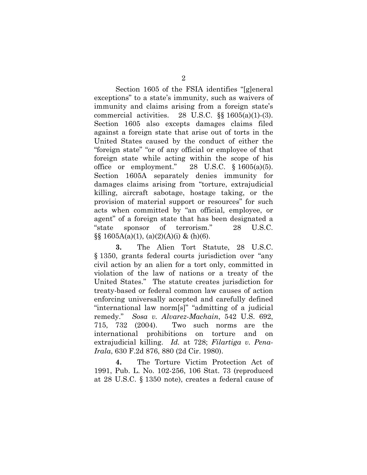Section 1605 of the FSIA identifies "[g]eneral exceptions" to a state's immunity, such as waivers of immunity and claims arising from a foreign state's commercial activities. 28 U.S.C.  $\S$  1605(a)(1)-(3). Section 1605 also excepts damages claims filed against a foreign state that arise out of torts in the United States caused by the conduct of either the "foreign state" "or of any official or employee of that foreign state while acting within the scope of his office or employment." 28 U.S.C.  $\S$  1605(a)(5). Section 1605A separately denies immunity for damages claims arising from "torture, extrajudicial killing, aircraft sabotage, hostage taking, or the provision of material support or resources" for such acts when committed by "an official, employee, or agent" of a foreign state that has been designated a "state sponsor of terrorism." 28 U.S.C.  $\S\S 1605A(a)(1)$ , (a)(2)(A)(i) & (h)(6).

**3.** The Alien Tort Statute, 28 U.S.C. § 1350, grants federal courts jurisdiction over "any civil action by an alien for a tort only, committed in violation of the law of nations or a treaty of the United States." The statute creates jurisdiction for treaty-based or federal common law causes of action enforcing universally accepted and carefully defined "international law norm[s]" "admitting of a judicial remedy." *Sosa v. Alvarez-Machain*, 542 U.S. 692, 715, 732 (2004). Two such norms are the international prohibitions on torture and on extrajudicial killing. *Id.* at 728; *Filartiga v. Pena-Irala*, 630 F.2d 876, 880 (2d Cir. 1980).

**4.** The Torture Victim Protection Act of 1991, Pub. L. No. 102-256, 106 Stat. 73 (reproduced at 28 U.S.C. § 1350 note), creates a federal cause of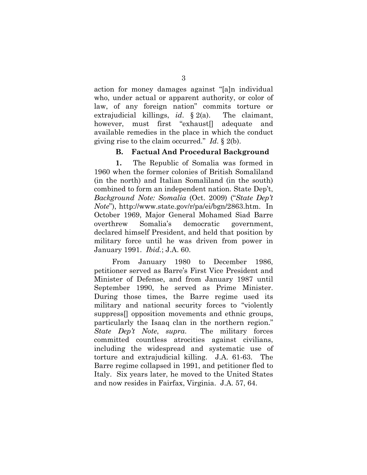action for money damages against "[a]n individual who, under actual or apparent authority, or color of law, of any foreign nation" commits torture or extrajudicial killings, *id*. § 2(a). The claimant, however, must first "exhaust[] adequate and available remedies in the place in which the conduct giving rise to the claim occurred." *Id*. § 2(b).

#### **B. Factual And Procedural Background**

 **1.** The Republic of Somalia was formed in 1960 when the former colonies of British Somaliland (in the north) and Italian Somaliland (in the south) combined to form an independent nation. State Dep't, *Background Note: Somalia* (Oct. 2009) ("*State Dep't Note*"), http://www.state.gov/r/pa/ei/bgn/2863.htm. In October 1969, Major General Mohamed Siad Barre overthrew Somalia's democratic government, declared himself President, and held that position by military force until he was driven from power in January 1991. *Ibid.*; J.A. 60.

From January 1980 to December 1986, petitioner served as Barre's First Vice President and Minister of Defense, and from January 1987 until September 1990, he served as Prime Minister. During those times, the Barre regime used its military and national security forces to "violently suppress[] opposition movements and ethnic groups, particularly the Isaaq clan in the northern region." *State Dep't Note*, *supra*. The military forces committed countless atrocities against civilians, including the widespread and systematic use of torture and extrajudicial killing. J.A. 61-63. The Barre regime collapsed in 1991, and petitioner fled to Italy. Six years later, he moved to the United States and now resides in Fairfax, Virginia. J.A. 57, 64.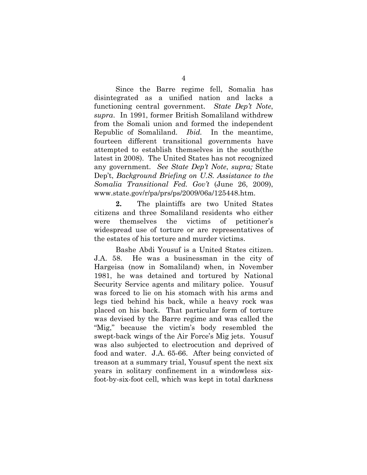Since the Barre regime fell, Somalia has disintegrated as a unified nation and lacks a functioning central government. *State Dep't Note*, *supra*. In 1991, former British Somaliland withdrew from the Somali union and formed the independent Republic of Somaliland. *Ibid.* In the meantime, fourteen different transitional governments have attempted to establish themselves in the south(the latest in 2008). The United States has not recognized any government. *See State Dep't Note*, *supra;* State Dep't, *Background Briefing on U.S. Assistance to the Somalia Transitional Fed. Gov't* (June 26, 2009), www.state.gov/r/pa/prs/ps/2009/06a/125448.htm.

**2.** The plaintiffs are two United States citizens and three Somaliland residents who either were themselves the victims of petitioner's widespread use of torture or are representatives of the estates of his torture and murder victims.

Bashe Abdi Yousuf is a United States citizen. J.A. 58. He was a businessman in the city of Hargeisa (now in Somaliland) when, in November 1981, he was detained and tortured by National Security Service agents and military police. Yousuf was forced to lie on his stomach with his arms and legs tied behind his back, while a heavy rock was placed on his back. That particular form of torture was devised by the Barre regime and was called the "Mig," because the victim's body resembled the swept-back wings of the Air Force's Mig jets. Yousuf was also subjected to electrocution and deprived of food and water. J.A. 65-66. After being convicted of treason at a summary trial, Yousuf spent the next six years in solitary confinement in a windowless sixfoot-by-six-foot cell, which was kept in total darkness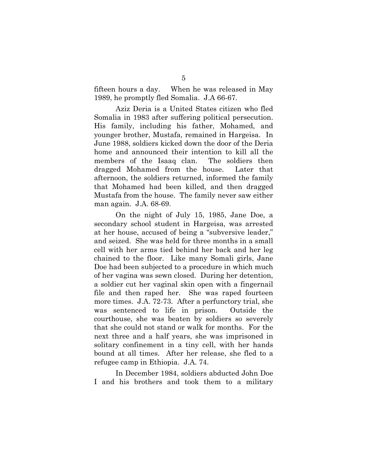fifteen hours a day. When he was released in May 1989, he promptly fled Somalia. J.A 66-67.

Aziz Deria is a United States citizen who fled Somalia in 1983 after suffering political persecution. His family, including his father, Mohamed, and younger brother, Mustafa, remained in Hargeisa. In June 1988, soldiers kicked down the door of the Deria home and announced their intention to kill all the members of the Isaaq clan. The soldiers then dragged Mohamed from the house. Later that afternoon, the soldiers returned, informed the family that Mohamed had been killed, and then dragged Mustafa from the house. The family never saw either man again. J.A. 68-69.

On the night of July 15, 1985, Jane Doe, a secondary school student in Hargeisa, was arrested at her house, accused of being a "subversive leader," and seized. She was held for three months in a small cell with her arms tied behind her back and her leg chained to the floor. Like many Somali girls, Jane Doe had been subjected to a procedure in which much of her vagina was sewn closed. During her detention, a soldier cut her vaginal skin open with a fingernail file and then raped her. She was raped fourteen more times. J.A. 72-73. After a perfunctory trial, she was sentenced to life in prison. Outside the courthouse, she was beaten by soldiers so severely that she could not stand or walk for months. For the next three and a half years, she was imprisoned in solitary confinement in a tiny cell, with her hands bound at all times. After her release, she fled to a refugee camp in Ethiopia. J.A. 74.

In December 1984, soldiers abducted John Doe I and his brothers and took them to a military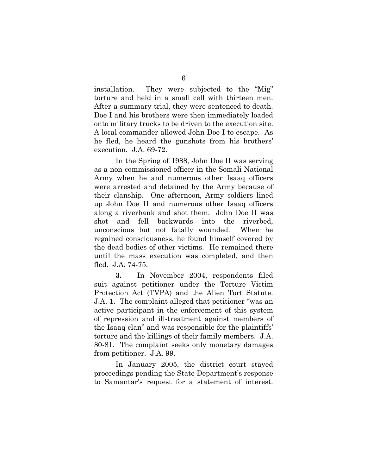installation. They were subjected to the "Mig" torture and held in a small cell with thirteen men. After a summary trial, they were sentenced to death. Doe I and his brothers were then immediately loaded onto military trucks to be driven to the execution site. A local commander allowed John Doe I to escape. As he fled, he heard the gunshots from his brothers' execution. J.A. 69-72.

In the Spring of 1988, John Doe II was serving as a non-commissioned officer in the Somali National Army when he and numerous other Isaaq officers were arrested and detained by the Army because of their clanship. One afternoon, Army soldiers lined up John Doe II and numerous other Isaaq officers along a riverbank and shot them. John Doe II was shot and fell backwards into the riverbed, unconscious but not fatally wounded. When he regained consciousness, he found himself covered by the dead bodies of other victims. He remained there until the mass execution was completed, and then fled. J.A. 74-75.

**3.** In November 2004, respondents filed suit against petitioner under the Torture Victim Protection Act (TVPA) and the Alien Tort Statute. J.A. 1. The complaint alleged that petitioner "was an active participant in the enforcement of this system of repression and ill-treatment against members of the Isaaq clan" and was responsible for the plaintiffs' torture and the killings of their family members. J.A. 80-81. The complaint seeks only monetary damages from petitioner. J.A. 99.

In January 2005, the district court stayed proceedings pending the State Department's response to Samantar's request for a statement of interest.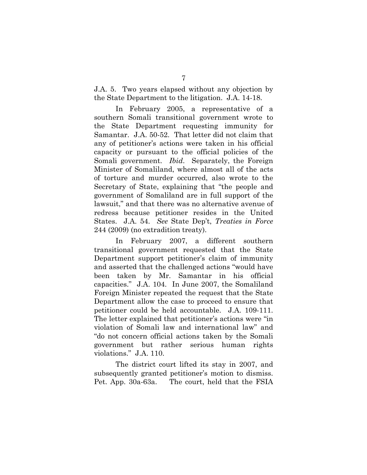J.A. 5. Two years elapsed without any objection by the State Department to the litigation. J.A. 14-18.

In February 2005, a representative of a southern Somali transitional government wrote to the State Department requesting immunity for Samantar. J.A. 50-52. That letter did not claim that any of petitioner's actions were taken in his official capacity or pursuant to the official policies of the Somali government. *Ibid*. Separately, the Foreign Minister of Somaliland, where almost all of the acts of torture and murder occurred, also wrote to the Secretary of State, explaining that "the people and government of Somaliland are in full support of the lawsuit," and that there was no alternative avenue of redress because petitioner resides in the United States. J.A. 54. *See* State Dep't, *Treaties in Force* 244 (2009) (no extradition treaty).

In February 2007, a different southern transitional government requested that the State Department support petitioner's claim of immunity and asserted that the challenged actions "would have been taken by Mr. Samantar in his official capacities." J.A. 104. In June 2007, the Somaliland Foreign Minister repeated the request that the State Department allow the case to proceed to ensure that petitioner could be held accountable. J.A. 109-111. The letter explained that petitioner's actions were "in violation of Somali law and international law" and "do not concern official actions taken by the Somali government but rather serious human rights violations." J.A. 110.

The district court lifted its stay in 2007, and subsequently granted petitioner's motion to dismiss. Pet. App. 30a-63a. The court, held that the FSIA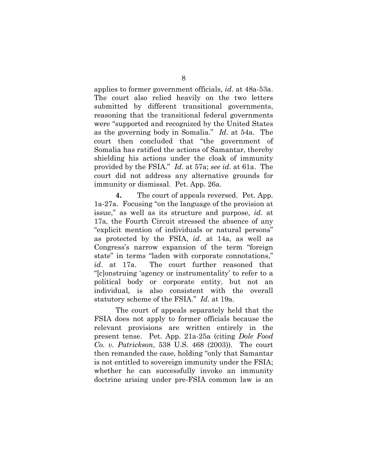applies to former government officials, *id*. at 48a-53a. The court also relied heavily on the two letters submitted by different transitional governments, reasoning that the transitional federal governments were "supported and recognized by the United States as the governing body in Somalia." *Id*. at 54a. The court then concluded that "the government of Somalia has ratified the actions of Samantar, thereby shielding his actions under the cloak of immunity provided by the FSIA." *Id*. at 57a; *see id*. at 61a. The court did not address any alternative grounds for immunity or dismissal. Pet. App. 26a.

**4.** The court of appeals reversed. Pet. App. 1a-27a. Focusing "on the language of the provision at issue," as well as its structure and purpose, *id*. at 17a, the Fourth Circuit stressed the absence of any "explicit mention of individuals or natural persons" as protected by the FSIA, *id*. at 14a, as well as Congress's narrow expansion of the term "foreign state" in terms "laden with corporate connotations," *id*. at 17a. The court further reasoned that "[c]onstruing 'agency or instrumentality' to refer to a political body or corporate entity, but not an individual, is also consistent with the overall statutory scheme of the FSIA." *Id*. at 19a.

The court of appeals separately held that the FSIA does not apply to former officials because the relevant provisions are written entirely in the present tense. Pet. App. 21a-25a (citing *Dole Food Co. v. Patrickson*, 538 U.S. 468 (2003)). The court then remanded the case, holding "only that Samantar is not entitled to sovereign immunity under the FSIA; whether he can successfully invoke an immunity doctrine arising under pre-FSIA common law is an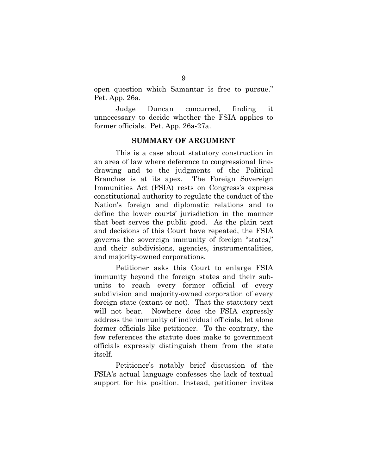open question which Samantar is free to pursue." Pet. App. 26a.

Judge Duncan concurred, finding it unnecessary to decide whether the FSIA applies to former officials. Pet. App. 26a-27a.

#### **SUMMARY OF ARGUMENT**

This is a case about statutory construction in an area of law where deference to congressional linedrawing and to the judgments of the Political Branches is at its apex. The Foreign Sovereign Immunities Act (FSIA) rests on Congress's express constitutional authority to regulate the conduct of the Nation's foreign and diplomatic relations and to define the lower courts' jurisdiction in the manner that best serves the public good. As the plain text and decisions of this Court have repeated, the FSIA governs the sovereign immunity of foreign "states," and their subdivisions, agencies, instrumentalities, and majority-owned corporations.

Petitioner asks this Court to enlarge FSIA immunity beyond the foreign states and their subunits to reach every former official of every subdivision and majority-owned corporation of every foreign state (extant or not). That the statutory text will not bear. Nowhere does the FSIA expressly address the immunity of individual officials, let alone former officials like petitioner. To the contrary, the few references the statute does make to government officials expressly distinguish them from the state itself.

Petitioner's notably brief discussion of the FSIA's actual language confesses the lack of textual support for his position. Instead, petitioner invites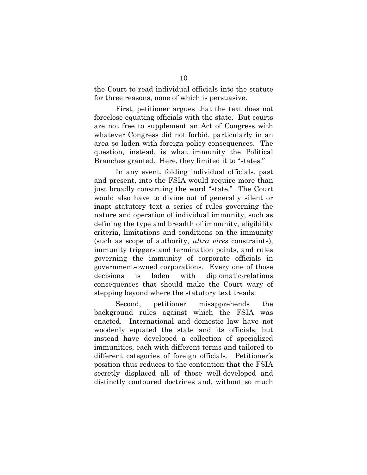the Court to read individual officials into the statute for three reasons, none of which is persuasive.

First, petitioner argues that the text does not foreclose equating officials with the state. But courts are not free to supplement an Act of Congress with whatever Congress did not forbid, particularly in an area so laden with foreign policy consequences. The question, instead, is what immunity the Political Branches granted. Here, they limited it to "states."

In any event, folding individual officials, past and present, into the FSIA would require more than just broadly construing the word "state." The Court would also have to divine out of generally silent or inapt statutory text a series of rules governing the nature and operation of individual immunity, such as defining the type and breadth of immunity, eligibility criteria, limitations and conditions on the immunity (such as scope of authority, *ultra vires* constraints), immunity triggers and termination points, and rules governing the immunity of corporate officials in government-owned corporations. Every one of those decisions is laden with diplomatic-relations consequences that should make the Court wary of stepping beyond where the statutory text treads.

Second, petitioner misapprehends the background rules against which the FSIA was enacted. International and domestic law have not woodenly equated the state and its officials, but instead have developed a collection of specialized immunities, each with different terms and tailored to different categories of foreign officials. Petitioner's position thus reduces to the contention that the FSIA secretly displaced all of those well-developed and distinctly contoured doctrines and, without so much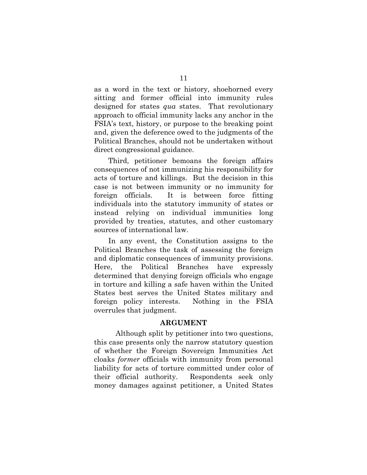as a word in the text or history, shoehorned every sitting and former official into immunity rules designed for states *qua* states. That revolutionary approach to official immunity lacks any anchor in the FSIA's text, history, or purpose to the breaking point and, given the deference owed to the judgments of the Political Branches, should not be undertaken without direct congressional guidance.

Third, petitioner bemoans the foreign affairs consequences of not immunizing his responsibility for acts of torture and killings. But the decision in this case is not between immunity or no immunity for foreign officials. It is between force fitting individuals into the statutory immunity of states or instead relying on individual immunities long provided by treaties, statutes, and other customary sources of international law.

In any event, the Constitution assigns to the Political Branches the task of assessing the foreign and diplomatic consequences of immunity provisions. Here, the Political Branches have expressly determined that denying foreign officials who engage in torture and killing a safe haven within the United States best serves the United States military and foreign policy interests. Nothing in the FSIA overrules that judgment.

#### **ARGUMENT**

Although split by petitioner into two questions, this case presents only the narrow statutory question of whether the Foreign Sovereign Immunities Act cloaks *former* officials with immunity from personal liability for acts of torture committed under color of their official authority. Respondents seek only money damages against petitioner, a United States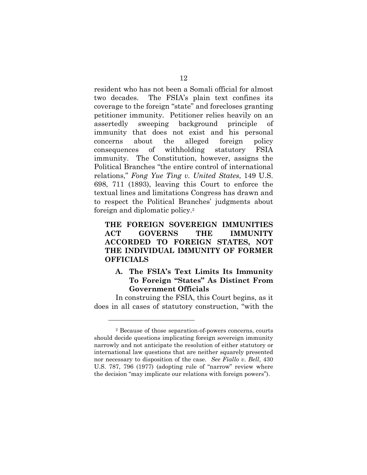resident who has not been a Somali official for almost two decades. The FSIA's plain text confines its coverage to the foreign "state" and forecloses granting petitioner immunity. Petitioner relies heavily on an assertedly sweeping background principle of immunity that does not exist and his personal concerns about the alleged foreign policy consequences of withholding statutory FSIA immunity. The Constitution, however, assigns the Political Branches "the entire control of international relations," *Fong Yue Ting v. United States*, 149 U.S. 698, 711 (1893), leaving this Court to enforce the textual lines and limitations Congress has drawn and to respect the Political Branches' judgments about foreign and diplomatic policy.2

**THE FOREIGN SOVEREIGN IMMUNITIES ACT GOVERNS THE IMMUNITY ACCORDED TO FOREIGN STATES, NOT THE INDIVIDUAL IMMUNITY OF FORMER OFFICIALS**

### **A. The FSIA's Text Limits Its Immunity To Foreign "States" As Distinct From Government Officials**

In construing the FSIA, this Court begins, as it does in all cases of statutory construction, "with the

<sup>2</sup> Because of those separation-of-powers concerns, courts should decide questions implicating foreign sovereign immunity narrowly and not anticipate the resolution of either statutory or international law questions that are neither squarely presented nor necessary to disposition of the case. *See Fiallo v. Bell*, 430 U.S. 787, 796 (1977) (adopting rule of "narrow" review where the decision "may implicate our relations with foreign powers").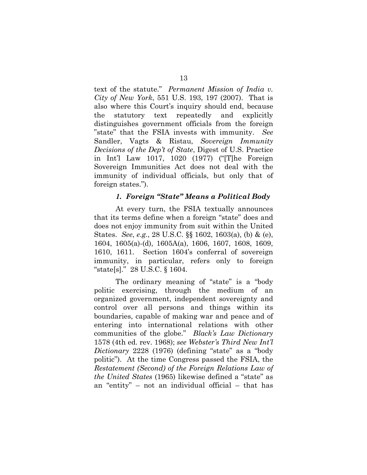text of the statute." *Permanent Mission of India v. City of New York*, 551 U.S. 193, 197 (2007). That is also where this Court's inquiry should end, because the statutory text repeatedly and explicitly distinguishes government officials from the foreign "state" that the FSIA invests with immunity. *See*  Sandler, Vagts & Ristau, *Sovereign Immunity Decisions of the Dep't of State*, Digest of U.S. Practice in Int'l Law 1017, 1020 (1977) ("[T]he Foreign Sovereign Immunities Act does not deal with the immunity of individual officials, but only that of foreign states.").

#### *1. Foreign "State" Means a Political Body*

At every turn, the FSIA textually announces that its terms define when a foreign "state" does and does not enjoy immunity from suit within the United States. *See*, *e.g.*, 28 U.S.C. §§ 1602, 1603(a), (b) & (e), 1604, 1605(a)-(d), 1605A(a), 1606, 1607, 1608, 1609, 1610, 1611. Section 1604's conferral of sovereign immunity, in particular, refers only to foreign "state[s]." 28 U.S.C. § 1604.

The ordinary meaning of "state" is a "body politic exercising, through the medium of an organized government, independent sovereignty and control over all persons and things within its boundaries, capable of making war and peace and of entering into international relations with other communities of the globe." *Black's Law Dictionary* 1578 (4th ed. rev. 1968); *see Webster's Third New Int'l Dictionary* 2228 (1976) (defining "state" as a "body politic"). At the time Congress passed the FSIA, the *Restatement (Second) of the Foreign Relations Law of the United States* (1965) likewise defined a "state" as an "entity" – not an individual official – that has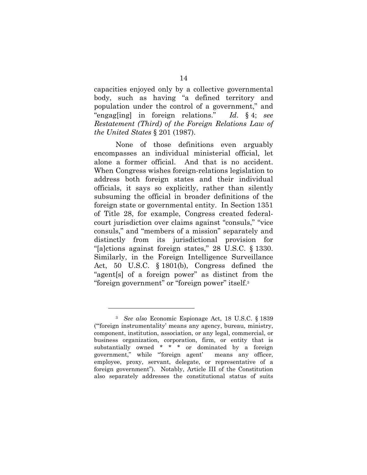capacities enjoyed only by a collective governmental body, such as having "a defined territory and population under the control of a government," and "engag[ing] in foreign relations." *Id*. § 4; *see Restatement (Third) of the Foreign Relations Law of the United States* § 201 (1987).

None of those definitions even arguably encompasses an individual ministerial official, let alone a former official. And that is no accident. When Congress wishes foreign-relations legislation to address both foreign states and their individual officials, it says so explicitly, rather than silently subsuming the official in broader definitions of the foreign state or governmental entity. In Section 1351 of Title 28, for example, Congress created federalcourt jurisdiction over claims against "consuls," "vice consuls," and "members of a mission" separately and distinctly from its jurisdictional provision for "[a]ctions against foreign states," 28 U.S.C. § 1330. Similarly, in the Foreign Intelligence Surveillance Act, 50 U.S.C. § 1801(b), Congress defined the "agent[s] of a foreign power" as distinct from the "foreign government" or "foreign power" itself.3

<sup>3</sup> *See also* Economic Espionage Act, 18 U.S.C. § 1839 ("'foreign instrumentality' means any agency, bureau, ministry, component, institution, association, or any legal, commercial, or business organization, corporation, firm, or entity that is substantially owned \* \* \* or dominated by a foreign government," while "'foreign agent' means any officer, employee, proxy, servant, delegate, or representative of a foreign government"). Notably, Article III of the Constitution also separately addresses the constitutional status of suits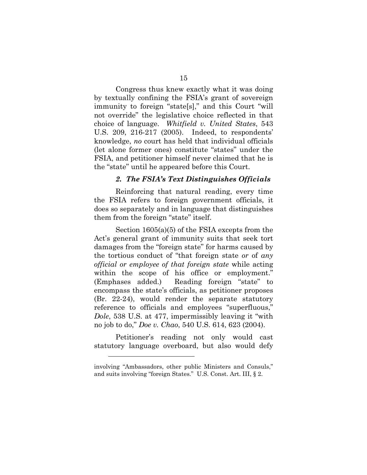Congress thus knew exactly what it was doing by textually confining the FSIA's grant of sovereign immunity to foreign "state[s]," and this Court "will not override" the legislative choice reflected in that choice of language. *Whitfield v. United States*, 543 U.S. 209, 216-217 (2005). Indeed, to respondents' knowledge, *no* court has held that individual officials (let alone former ones) constitute "states" under the FSIA, and petitioner himself never claimed that he is the "state" until he appeared before this Court.

#### *2. The FSIA's Text Distinguishes Officials*

Reinforcing that natural reading, every time the FSIA refers to foreign government officials, it does so separately and in language that distinguishes them from the foreign "state" itself.

Section 1605(a)(5) of the FSIA excepts from the Act's general grant of immunity suits that seek tort damages from the "foreign state" for harms caused by the tortious conduct of "that foreign state *or* of *any official or employee of that foreign state* while acting within the scope of his office or employment." (Emphases added.) Reading foreign "state" to encompass the state's officials, as petitioner proposes (Br. 22-24), would render the separate statutory reference to officials and employees "superfluous," *Dole*, 538 U.S. at 477, impermissibly leaving it "with no job to do," *Doe v. Chao*, 540 U.S. 614, 623 (2004).

Petitioner's reading not only would cast statutory language overboard, but also would defy

involving "Ambassadors, other public Ministers and Consuls," and suits involving "foreign States." U.S. Const. Art. III, § 2.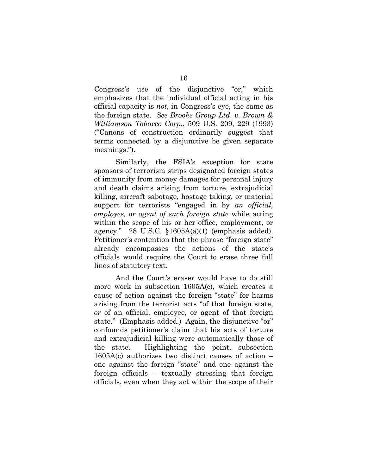Congress's use of the disjunctive "or," which emphasizes that the individual official acting in his official capacity is *not*, in Congress's eye, the same as the foreign state. *See Brooke Group Ltd. v. Brown & Williamson Tobacco Corp.*, 509 U.S. 209, 229 (1993) ("Canons of construction ordinarily suggest that terms connected by a disjunctive be given separate meanings.").

Similarly, the FSIA's exception for state sponsors of terrorism strips designated foreign states of immunity from money damages for personal injury and death claims arising from torture, extrajudicial killing, aircraft sabotage, hostage taking, or material support for terrorists "engaged in by *an official, employee, or agent of such foreign state* while acting within the scope of his or her office, employment, or agency." 28 U.S.C.  $$1605A(a)(1)$  (emphasis added). Petitioner's contention that the phrase "foreign state" already encompasses the actions of the state's officials would require the Court to erase three full lines of statutory text.

And the Court's eraser would have to do still more work in subsection 1605A(c), which creates a cause of action against the foreign "state" for harms arising from the terrorist acts "of that foreign state, *or* of an official, employee, or agent of that foreign state." (Emphasis added.) Again, the disjunctive "or" confounds petitioner's claim that his acts of torture and extrajudicial killing were automatically those of the state. Highlighting the point, subsection 1605A(c) authorizes two distinct causes of action – one against the foreign "state" and one against the foreign officials – textually stressing that foreign officials, even when they act within the scope of their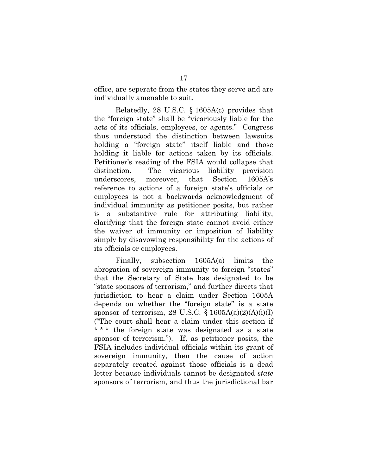office, are seperate from the states they serve and are individually amenable to suit.

Relatedly, 28 U.S.C. § 1605A(c) provides that the "foreign state" shall be "vicariously liable for the acts of its officials, employees, or agents." Congress thus understood the distinction between lawsuits holding a "foreign state" itself liable and those holding it liable for actions taken by its officials. Petitioner's reading of the FSIA would collapse that distinction. The vicarious liability provision underscores, moreover, that Section 1605A's reference to actions of a foreign state's officials or employees is not a backwards acknowledgment of individual immunity as petitioner posits, but rather is a substantive rule for attributing liability, clarifying that the foreign state cannot avoid either the waiver of immunity or imposition of liability simply by disavowing responsibility for the actions of its officials or employees.

Finally, subsection 1605A(a) limits the abrogation of sovereign immunity to foreign "states" that the Secretary of State has designated to be "state sponsors of terrorism," and further directs that jurisdiction to hear a claim under Section 1605A depends on whether the "foreign state" is a state sponsor of terrorism, 28 U.S.C.  $\S$  1605A(a)(2)(A)(i)(I) ("The court shall hear a claim under this section if \*\*\* the foreign state was designated as a state sponsor of terrorism."). If, as petitioner posits, the FSIA includes individual officials within its grant of sovereign immunity, then the cause of action separately created against those officials is a dead letter because individuals cannot be designated *state* sponsors of terrorism, and thus the jurisdictional bar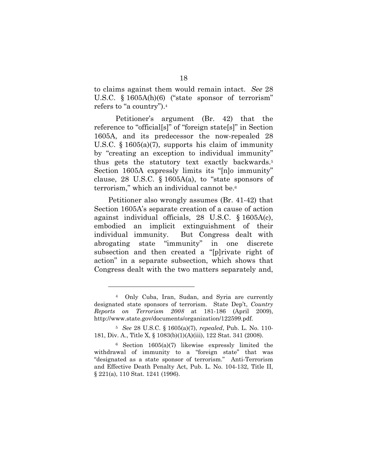to claims against them would remain intact. *See* 28 U.S.C. § 1605A(h)(6) ("state sponsor of terrorism" refers to "a country").4

Petitioner's argument (Br. 42) that the reference to "official[s]" of "foreign state[s]" in Section 1605A, and its predecessor the now-repealed 28 U.S.C. § 1605(a)(7), supports his claim of immunity by "creating an exception to individual immunity" thus gets the statutory text exactly backwards.5 Section 1605A expressly limits its "[n]o immunity" clause, 28 U.S.C.  $\S$  1605A(a), to "state sponsors of terrorism," which an individual cannot be.6

Petitioner also wrongly assumes (Br. 41-42) that Section 1605A's separate creation of a cause of action against individual officials, 28 U.S.C. § 1605A(c), embodied an implicit extinguishment of their individual immunity. But Congress dealt with abrogating state "immunity" in one discrete subsection and then created a "[p]rivate right of action" in a separate subsection, which shows that Congress dealt with the two matters separately and,

<sup>4</sup> Only Cuba, Iran, Sudan, and Syria are currently designated state sponsors of terrorism. State Dep't, *Country Reports on Terrorism 2008* at 181-186 (April 2009), http://www.state.gov/documents/organization/122599.pdf.

<sup>5</sup> *See* 28 U.S.C. § 1605(a)(7), *repealed*, Pub. L. No. 110- 181, Div. A., Title X, § 1083(b)(1)(A)(iii), 122 Stat. 341 (2008).

<sup>6</sup> Section 1605(a)(7) likewise expressly limited the withdrawal of immunity to a "foreign state" that was "designated as a state sponsor of terrorism." Anti-Terrorism and Effective Death Penalty Act, Pub. L. No. 104-132, Title II, § 221(a), 110 Stat. 1241 (1996).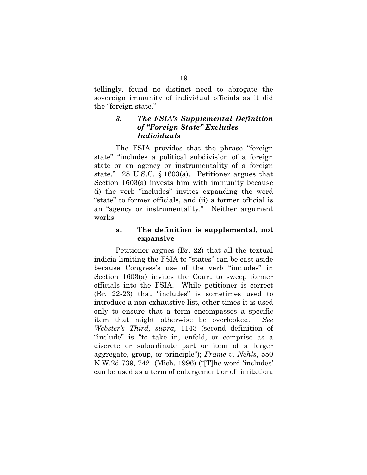tellingly, found no distinct need to abrogate the sovereign immunity of individual officials as it did the "foreign state."

## *3. The FSIA's Supplemental Definition of "Foreign State" Excludes Individuals*

The FSIA provides that the phrase "foreign state" "includes a political subdivision of a foreign state or an agency or instrumentality of a foreign state." 28 U.S.C. § 1603(a). Petitioner argues that Section 1603(a) invests him with immunity because (i) the verb "includes" invites expanding the word "state" to former officials, and (ii) a former official is an "agency or instrumentality." Neither argument works.

### **a. The definition is supplemental, not expansive**

 Petitioner argues (Br. 22) that all the textual indicia limiting the FSIA to "states" can be cast aside because Congress's use of the verb "includes" in Section 1603(a) invites the Court to sweep former officials into the FSIA. While petitioner is correct (Br. 22-23) that "includes" is sometimes used to introduce a non-exhaustive list, other times it is used only to ensure that a term encompasses a specific item that might otherwise be overlooked. *See Webster's Third, supra,* 1143 (second definition of "include" is "to take in, enfold, or comprise as a discrete or subordinate part or item of a larger aggregate, group, or principle"); *Frame v. Nehls*, 550 N.W.2d 739, 742 (Mich. 1996) ("[T]he word 'includes' can be used as a term of enlargement or of limitation,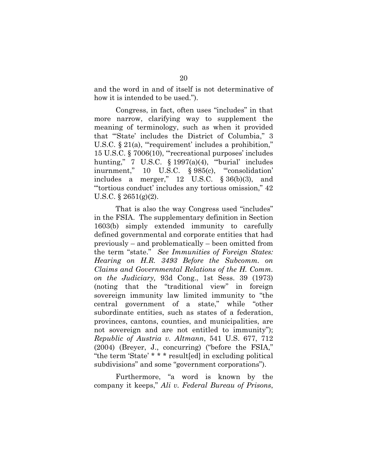and the word in and of itself is not determinative of how it is intended to be used.").

 Congress, in fact, often uses "includes" in that more narrow, clarifying way to supplement the meaning of terminology, such as when it provided that "'State' includes the District of Columbia," 3 U.S.C. § 21(a), "requirement' includes a prohibition," 15 U.S.C. § 7006(10), "'recreational purposes' includes hunting,"  $7 \text{ U.S.C. } \S 1997(a)(4)$ , "burial' includes inurnment," 10 U.S.C. § 985(c), "'consolidation' includes a merger," 12 U.S.C. § 36(b)(3), and "'tortious conduct' includes any tortious omission," 42 U.S.C.  $\S 2651(g)(2)$ .

 That is also the way Congress used "includes" in the FSIA. The supplementary definition in Section 1603(b) simply extended immunity to carefully defined governmental and corporate entities that had previously – and problematically – been omitted from the term "state." *See Immunities of Foreign States: Hearing on H.R. 3493 Before the Subcomm. on Claims and Governmental Relations of the H. Comm. on the Judiciary,* 93d Cong., 1st Sess. 39 (1973) (noting that the "traditional view" in foreign sovereign immunity law limited immunity to "the central government of a state," while "other subordinate entities, such as states of a federation, provinces, cantons, counties, and municipalities, are not sovereign and are not entitled to immunity"); *Republic of Austria v. Altmann*, 541 U.S. 677, 712 (2004) (Breyer, J., concurring) ("before the FSIA," "the term 'State' \* \* \* result[ed] in excluding political subdivisions" and some "government corporations").

Furthermore, "a word is known by the company it keeps," *Ali v. Federal Bureau of Prisons*,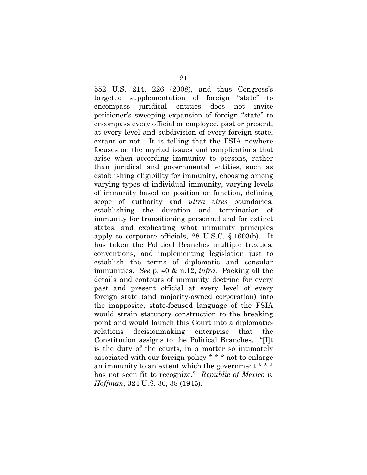552 U.S. 214, 226 (2008), and thus Congress's targeted supplementation of foreign "state" to encompass juridical entities does not invite petitioner's sweeping expansion of foreign "state" to encompass every official or employee, past or present, at every level and subdivision of every foreign state, extant or not. It is telling that the FSIA nowhere focuses on the myriad issues and complications that arise when according immunity to persons, rather than juridical and governmental entities, such as establishing eligibility for immunity, choosing among varying types of individual immunity, varying levels of immunity based on position or function, defining scope of authority and *ultra vires* boundaries, establishing the duration and termination of immunity for transitioning personnel and for extinct states, and explicating what immunity principles apply to corporate officials, 28 U.S.C. § 1603(b). It has taken the Political Branches multiple treaties, conventions, and implementing legislation just to establish the terms of diplomatic and consular immunities. *See* p. 40 & n.12, *infra*. Packing all the details and contours of immunity doctrine for every past and present official at every level of every foreign state (and majority-owned corporation) into the inapposite, state-focused language of the FSIA would strain statutory construction to the breaking point and would launch this Court into a diplomaticrelations decisionmaking enterprise that the Constitution assigns to the Political Branches. "[I]t is the duty of the courts, in a matter so intimately associated with our foreign policy \* \* \* not to enlarge an immunity to an extent which the government \* \* \* has not seen fit to recognize." *Republic of Mexico v. Hoffman*, 324 U.S. 30, 38 (1945).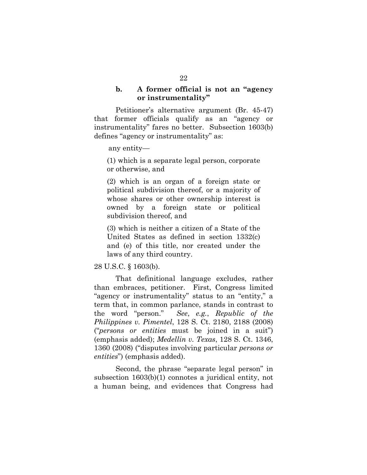#### **b. A former official is not an "agency or instrumentality"**

Petitioner's alternative argument (Br. 45-47) that former officials qualify as an "agency or instrumentality" fares no better. Subsection 1603(b) defines "agency or instrumentality" as:

any entity—

(1) which is a separate legal person, corporate or otherwise, and

(2) which is an organ of a foreign state or political subdivision thereof, or a majority of whose shares or other ownership interest is owned by a foreign state or political subdivision thereof, and

(3) which is neither a citizen of a State of the United States as defined in section 1332(c) and (e) of this title, nor created under the laws of any third country.

#### 28 U.S.C. § 1603(b).

 That definitional language excludes, rather than embraces, petitioner. First, Congress limited "agency or instrumentality" status to an "entity," a term that, in common parlance, stands in contrast to the word "person." *See*, *e.g.*, *Republic of the Philippines v. Pimentel*, 128 S. Ct. 2180, 2188 (2008) ("*persons or entities* must be joined in a suit") (emphasis added); *Medellin v. Texas*, 128 S. Ct. 1346, 1360 (2008) ("disputes involving particular *persons or entities*") (emphasis added).

 Second, the phrase "separate legal person" in subsection 1603(b)(1) connotes a juridical entity, not a human being, and evidences that Congress had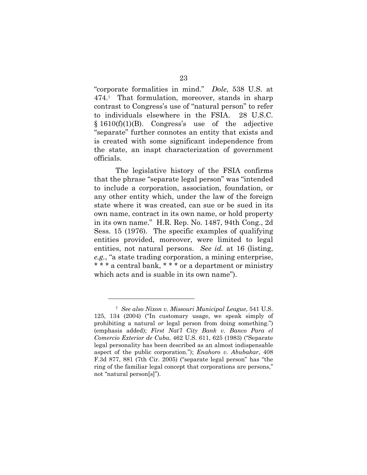"corporate formalities in mind." *Dole*, 538 U.S. at 474.7 That formulation, moreover, stands in sharp contrast to Congress's use of "natural person" to refer to individuals elsewhere in the FSIA. 28 U.S.C. § 1610(f)(1)(B). Congress's use of the adjective "separate" further connotes an entity that exists and is created with some significant independence from the state, an inapt characterization of government officials.

The legislative history of the FSIA confirms that the phrase "separate legal person" was "intended to include a corporation, association, foundation, or any other entity which, under the law of the foreign state where it was created, can sue or be sued in its own name, contract in its own name, or hold property in its own name." H.R. Rep. No. 1487, 94th Cong., 2d Sess. 15 (1976). The specific examples of qualifying entities provided, moreover, were limited to legal entities, not natural persons. *See id.* at 16 (listing, *e.g.*, "a state trading corporation, a mining enterprise, \* \* \* a central bank, \* \* \* or a department or ministry which acts and is suable in its own name").

<sup>7</sup> *See also Nixon v. Missouri Municipal League*, 541 U.S. 125, 134 (2004) ("In customary usage, we speak simply of prohibiting a natural *or* legal person from doing something.") (emphasis added); *First Nat'l City Bank v. Banco Para el Comercio Exterior de Cuba*, 462 U.S. 611, 625 (1983) ("Separate legal personality has been described as an almost indispensable aspect of the public corporation."); *Enahoro v. Abubakar*, 408 F.3d 877, 881 (7th Cir. 2005) ("separate legal person" has "the ring of the familiar legal concept that corporations are persons," not "natural person[s]").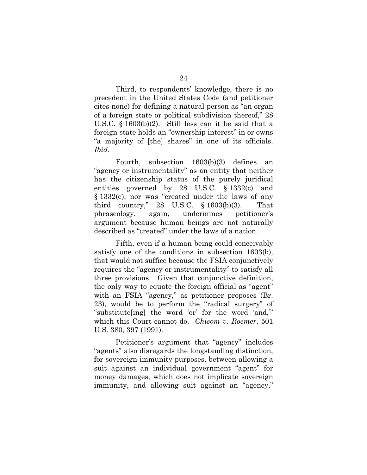Third, to respondents' knowledge, there is no precedent in the United States Code (and petitioner cites none) for defining a natural person as "an organ of a foreign state or political subdivision thereof," 28 U.S.C. § 1603(b)(2). Still less can it be said that a foreign state holds an "ownership interest" in or owns "a majority of [the] shares" in one of its officials. *Ibid*.

Fourth, subsection 1603(b)(3) defines an "agency or instrumentality" as an entity that neither has the citizenship status of the purely juridical entities governed by 28 U.S.C. § 1332(c) and § 1332(e), nor was "created under the laws of any third country," 28 U.S.C. § 1603(b)(3). That phraseology, again, undermines petitioner's argument because human beings are not naturally described as "created" under the laws of a nation.

Fifth, even if a human being could conceivably satisfy one of the conditions in subsection 1603(b), that would not suffice because the FSIA conjunctively requires the "agency or instrumentality" to satisfy all three provisions. Given that conjunctive definition, the only way to equate the foreign official as "agent" with an FSIA "agency," as petitioner proposes (Br. 23), would be to perform the "radical surgery" of "substitute[ing] the word 'or' for the word 'and,'" which this Court cannot do. *Chisom v. Roemer*, 501 U.S. 380, 397 (1991).

Petitioner's argument that "agency" includes "agents" also disregards the longstanding distinction, for sovereign immunity purposes, between allowing a suit against an individual government "agent" for money damages, which does not implicate sovereign immunity, and allowing suit against an "agency,"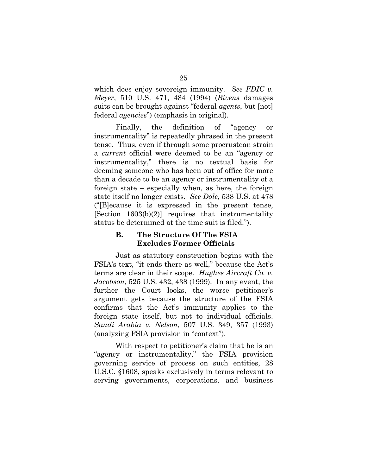which does enjoy sovereign immunity. *See FDIC v. Meyer*, 510 U.S. 471, 484 (1994) (*Bivens* damages suits can be brought against "federal *agents*, but [not] federal *agencies*") (emphasis in original).

Finally, the definition of "agency or instrumentality" is repeatedly phrased in the present tense. Thus, even if through some procrustean strain a *current* official were deemed to be an "agency or instrumentality," there is no textual basis for deeming someone who has been out of office for more than a decade to be an agency or instrumentality of a foreign state – especially when, as here, the foreign state itself no longer exists. *See Dole*, 538 U.S. at 478 ("[B]ecause it is expressed in the present tense, [Section 1603(b)(2)] requires that instrumentality status be determined at the time suit is filed.").

# **B. The Structure Of The FSIA Excludes Former Officials**

Just as statutory construction begins with the FSIA's text, "it ends there as well," because the Act's terms are clear in their scope. *Hughes Aircraft Co. v. Jacobson*, 525 U.S. 432, 438 (1999). In any event, the further the Court looks, the worse petitioner's argument gets because the structure of the FSIA confirms that the Act's immunity applies to the foreign state itself, but not to individual officials. *Saudi Arabia v. Nelson*, 507 U.S. 349, 357 (1993) (analyzing FSIA provision in "context").

With respect to petitioner's claim that he is an "agency or instrumentality," the FSIA provision governing service of process on such entities, 28 U.S.C. §1608, speaks exclusively in terms relevant to serving governments, corporations, and business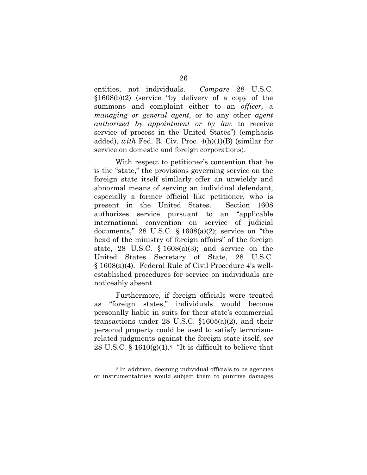entities, not individuals. *Compare* 28 U.S.C. §1608(b)(2) (service "by delivery of a copy of the summons and complaint either to an *officer,* a *managing or general agent,* or to any other *agent authorized by appointment or by law* to receive service of process in the United States") (emphasis added), *with* Fed. R. Civ. Proc. 4(h)(1)(B) (similar for service on domestic and foreign corporations).

With respect to petitioner's contention that he is the "state," the provisions governing service on the foreign state itself similarly offer an unwieldy and abnormal means of serving an individual defendant, especially a former official like petitioner, who is present in the United States. Section 1608 authorizes service pursuant to an "applicable international convention on service of judicial documents," 28 U.S.C.  $\S$  1608(a)(2); service on "the head of the ministry of foreign affairs" of the foreign state, 28 U.S.C.  $\S$  1608(a)(3); and service on the United States Secretary of State, 28 U.S.C. § 1608(a)(4). Federal Rule of Civil Procedure 4's wellestablished procedures for service on individuals are noticeably absent.

Furthermore, if foreign officials were treated as "foreign states," individuals would become personally liable in suits for their state's commercial transactions under 28 U.S.C.  $$1605(a)(2)$ , and their personal property could be used to satisfy terrorismrelated judgments against the foreign state itself, *see* 28 U.S.C.  $\frac{1610(g)(1).8}{16}$  "It is difficult to believe that

<sup>8</sup> In addition, deeming individual officials to be agencies or instrumentalities would subject them to punitive damages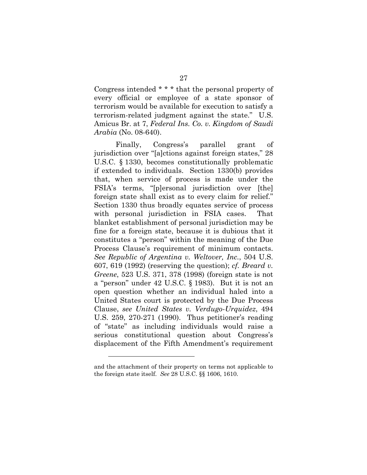Congress intended \* \* \* that the personal property of every official or employee of a state sponsor of terrorism would be available for execution to satisfy a terrorism-related judgment against the state." U.S. Amicus Br. at 7, *Federal Ins. Co. v. Kingdom of Saudi Arabia* (No. 08-640).

Finally, Congress's parallel grant of jurisdiction over "[a]ctions against foreign states," 28 U.S.C. § 1330, becomes constitutionally problematic if extended to individuals. Section 1330(b) provides that, when service of process is made under the FSIA's terms, "[p]ersonal jurisdiction over [the] foreign state shall exist as to every claim for relief." Section 1330 thus broadly equates service of process with personal jurisdiction in FSIA cases. That blanket establishment of personal jurisdiction may be fine for a foreign state, because it is dubious that it constitutes a "person" within the meaning of the Due Process Clause's requirement of minimum contacts. *See Republic of Argentina v. Weltover, Inc.*, 504 U.S. 607, 619 (1992) (reserving the question); *cf. Breard v. Greene*, 523 U.S. 371, 378 (1998) (foreign state is not a "person" under 42 U.S.C. § 1983). But it is not an open question whether an individual haled into a United States court is protected by the Due Process Clause, *see United States v. Verdugo-Urquidez*, 494 U.S. 259, 270-271 (1990). Thus petitioner's reading of "state" as including individuals would raise a serious constitutional question about Congress's displacement of the Fifth Amendment's requirement

and the attachment of their property on terms not applicable to the foreign state itself. *See* 28 U.S.C. §§ 1606, 1610.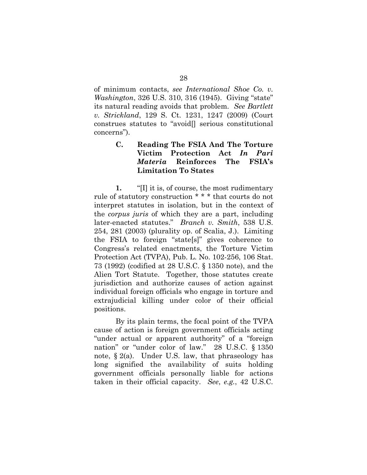of minimum contacts, *see International Shoe Co. v. Washington*, 326 U.S. 310, 316 (1945). Giving "state" its natural reading avoids that problem. *See Bartlett v. Strickland*, 129 S. Ct. 1231, 1247 (2009) (Court construes statutes to "avoid[] serious constitutional concerns").

# **C. Reading The FSIA And The Torture Victim Protection Act** *In Pari Materia* **Reinforces The FSIA's Limitation To States**

**1.** "[I] it is, of course, the most rudimentary rule of statutory construction \* \* \* that courts do not interpret statutes in isolation, but in the context of the *corpus juris* of which they are a part, including later-enacted statutes." *Branch v. Smith*, 538 U.S. 254, 281 (2003) (plurality op. of Scalia, J.). Limiting the FSIA to foreign "state[s]" gives coherence to Congress's related enactments, the Torture Victim Protection Act (TVPA), Pub. L. No. 102-256, 106 Stat. 73 (1992) (codified at 28 U.S.C. § 1350 note), and the Alien Tort Statute. Together, those statutes create jurisdiction and authorize causes of action against individual foreign officials who engage in torture and extrajudicial killing under color of their official positions.

 By its plain terms, the focal point of the TVPA cause of action is foreign government officials acting "under actual or apparent authority" of a "foreign nation" or "under color of law." 28 U.S.C. § 1350 note,  $\S 2(a)$ . Under U.S. law, that phraseology has long signified the availability of suits holding government officials personally liable for actions taken in their official capacity. *See*, *e.g.*, 42 U.S.C.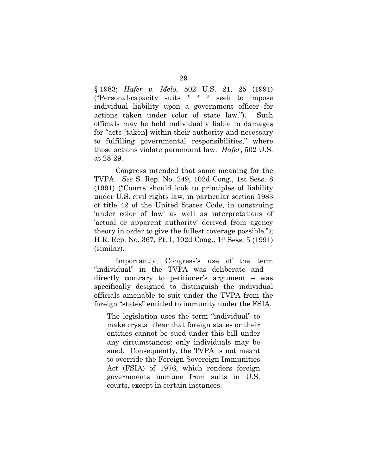§ 1983; *Hafer v. Melo*, 502 U.S. 21, 25 (1991) ("Personal-capacity suits \* \* \* seek to impose individual liability upon a government officer for actions taken under color of state law."). Such officials may be held individually liable in damages for "acts [taken] within their authority and necessary to fulfilling governmental responsibilities," where those actions violate paramount law. *Hafer*, 502 U.S. at 28-29.

Congress intended that same meaning for the TVPA. *See* S. Rep. No. 249, 102d Cong., 1st Sess. 8 (1991) ("Courts should look to principles of liability under U.S. civil rights law, in particular section 1983 of title 42 of the United States Code, in construing 'under color of law' as well as interpretations of 'actual or apparent authority' derived from agency theory in order to give the fullest coverage possible."); H.R. Rep. No. 367, Pt. I, 102d Cong., 1st Sess. 5 (1991) (similar).

Importantly, Congress's use of the term "individual" in the TVPA was deliberate and – directly contrary to petitioner's argument – was specifically designed to distinguish the individual officials amenable to suit under the TVPA from the foreign "states" entitled to immunity under the FSIA.

The legislation uses the term "individual" to make crystal clear that foreign states or their entities cannot be sued under this bill under any circumstances: only individuals may be sued. Consequently, the TVPA is not meant to override the Foreign Sovereign Immunities Act (FSIA) of 1976, which renders foreign governments immune from suits in U.S. courts, except in certain instances.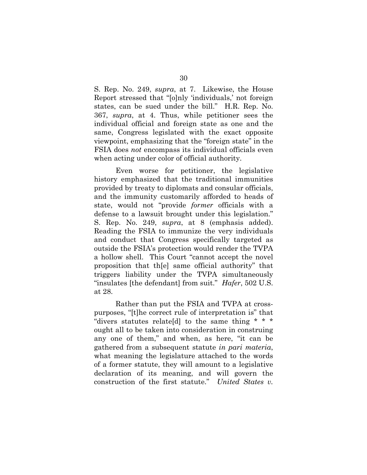S. Rep. No. 249, *supra*, at 7. Likewise, the House Report stressed that "[o]nly 'individuals,' not foreign states, can be sued under the bill." H.R. Rep. No. 367, *supra*, at 4. Thus, while petitioner sees the individual official and foreign state as one and the same, Congress legislated with the exact opposite viewpoint, emphasizing that the "foreign state" in the FSIA does *not* encompass its individual officials even when acting under color of official authority.

 Even worse for petitioner, the legislative history emphasized that the traditional immunities provided by treaty to diplomats and consular officials, and the immunity customarily afforded to heads of state, would not "provide *former* officials with a defense to a lawsuit brought under this legislation." S. Rep. No. 249, *supra*, at 8 (emphasis added). Reading the FSIA to immunize the very individuals and conduct that Congress specifically targeted as outside the FSIA's protection would render the TVPA a hollow shell. This Court "cannot accept the novel proposition that th[e] same official authority" that triggers liability under the TVPA simultaneously "insulates [the defendant] from suit." *Hafer*, 502 U.S. at 28.

 Rather than put the FSIA and TVPA at crosspurposes, "[t]he correct rule of interpretation is" that "divers statutes relate[d] to the same thing \* \* \* ought all to be taken into consideration in construing any one of them," and when, as here, "it can be gathered from a subsequent statute *in pari materia*, what meaning the legislature attached to the words of a former statute, they will amount to a legislative declaration of its meaning, and will govern the construction of the first statute." *United States v.*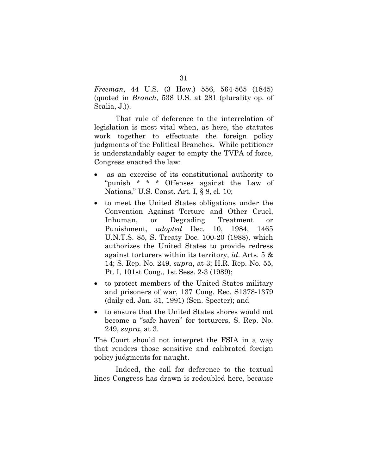*Freeman*, 44 U.S. (3 How.) 556, 564-565 (1845) (quoted in *Branch*, 538 U.S. at 281 (plurality op. of Scalia, J.)).

 That rule of deference to the interrelation of legislation is most vital when, as here, the statutes work together to effectuate the foreign policy judgments of the Political Branches. While petitioner is understandably eager to empty the TVPA of force, Congress enacted the law:

- as an exercise of its constitutional authority to "punish \* \* \* Offenses against the Law of Nations," U.S. Const. Art. I, § 8, cl. 10;
- to meet the United States obligations under the Convention Against Torture and Other Cruel, Inhuman, or Degrading Treatment or Punishment, *adopted* Dec. 10, 1984, 1465 U.N.T.S. 85, S. Treaty Doc. 100-20 (1988), which authorizes the United States to provide redress against torturers within its territory, *id*. Arts. 5 & 14; S. Rep. No. 249, *supra*, at 3; H.R. Rep. No. 55, Pt. I, 101st Cong., 1st Sess. 2-3 (1989);
- to protect members of the United States military and prisoners of war, 137 Cong. Rec. S1378-1379 (daily ed. Jan. 31, 1991) (Sen. Specter); and
- to ensure that the United States shores would not become a "safe haven" for torturers, S. Rep. No. 249, *supra*, at 3.

The Court should not interpret the FSIA in a way that renders those sensitive and calibrated foreign policy judgments for naught.

 Indeed, the call for deference to the textual lines Congress has drawn is redoubled here, because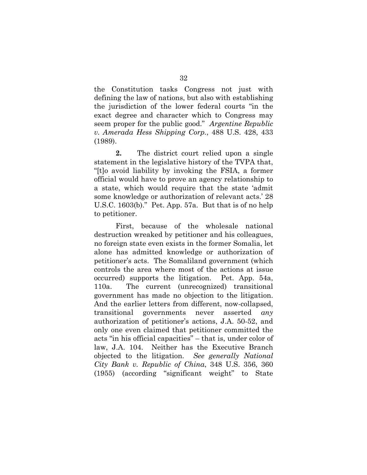the Constitution tasks Congress not just with defining the law of nations, but also with establishing the jurisdiction of the lower federal courts "in the exact degree and character which to Congress may seem proper for the public good." *Argentine Republic v. Amerada Hess Shipping Corp.*, 488 U.S. 428, 433 (1989).

**2.** The district court relied upon a single statement in the legislative history of the TVPA that, "[t]o avoid liability by invoking the FSIA, a former official would have to prove an agency relationship to a state, which would require that the state 'admit some knowledge or authorization of relevant acts.' 28 U.S.C. 1603(b)." Pet. App. 57a. But that is of no help to petitioner.

 First, because of the wholesale national destruction wreaked by petitioner and his colleagues, no foreign state even exists in the former Somalia, let alone has admitted knowledge or authorization of petitioner's acts. The Somaliland government (which controls the area where most of the actions at issue occurred) supports the litigation. Pet. App. 54a, 110a. The current (unrecognized) transitional government has made no objection to the litigation. And the earlier letters from different, now-collapsed, transitional governments never asserted *any* authorization of petitioner's actions, J.A. 50-52, and only one even claimed that petitioner committed the acts "in his official capacities" – that is, under color of law, J.A. 104. Neither has the Executive Branch objected to the litigation. *See generally National City Bank v. Republic of China*, 348 U.S. 356, 360 (1955) (according "significant weight" to State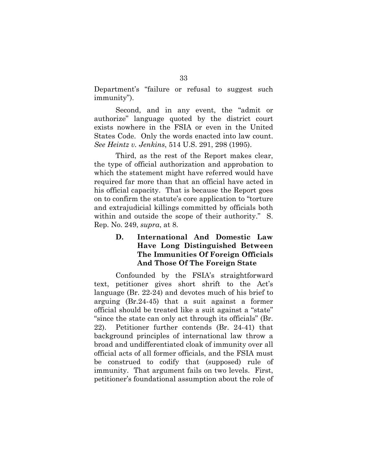Department's "failure or refusal to suggest such immunity").

Second, and in any event, the "admit or authorize" language quoted by the district court exists nowhere in the FSIA or even in the United States Code. Only the words enacted into law count. *See Heintz v. Jenkins*, 514 U.S. 291, 298 (1995).

 Third, as the rest of the Report makes clear, the type of official authorization and approbation to which the statement might have referred would have required far more than that an official have acted in his official capacity. That is because the Report goes on to confirm the statute's core application to "torture and extrajudicial killings committed by officials both within and outside the scope of their authority." S. Rep. No. 249, *supra*, at 8.

# **D. International And Domestic Law Have Long Distinguished Between The Immunities Of Foreign Officials And Those Of The Foreign State**

 Confounded by the FSIA's straightforward text, petitioner gives short shrift to the Act's language (Br. 22-24) and devotes much of his brief to arguing (Br.24-45) that a suit against a former official should be treated like a suit against a "state" "since the state can only act through its officials" (Br. 22). Petitioner further contends (Br. 24-41) that background principles of international law throw a broad and undifferentiated cloak of immunity over all official acts of all former officials, and the FSIA must be construed to codify that (supposed) rule of immunity. That argument fails on two levels. First, petitioner's foundational assumption about the role of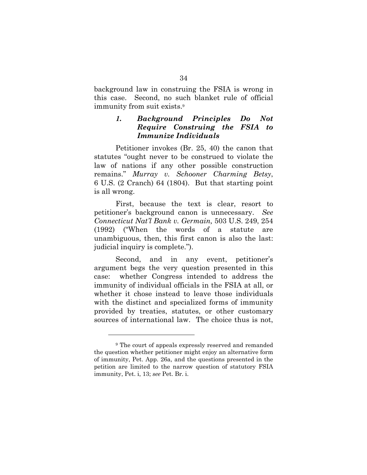background law in construing the FSIA is wrong in this case. Second, no such blanket rule of official immunity from suit exists.9

#### *1. Background Principles Do Not Require Construing the FSIA to Immunize Individuals*

Petitioner invokes (Br. 25, 40) the canon that statutes "ought never to be construed to violate the law of nations if any other possible construction remains." *Murray v. Schooner Charming Betsy*, 6 U.S. (2 Cranch) 64 (1804). But that starting point is all wrong.

 First, because the text is clear, resort to petitioner's background canon is unnecessary. *See Connecticut Nat'l Bank v. Germain,* 503 U.S. 249, 254 (1992) ("When the words of a statute are unambiguous, then, this first canon is also the last: judicial inquiry is complete.").

 Second, and in any event, petitioner's argument begs the very question presented in this case: whether Congress intended to address the immunity of individual officials in the FSIA at all, or whether it chose instead to leave those individuals with the distinct and specialized forms of immunity provided by treaties, statutes, or other customary sources of international law. The choice thus is not,

<sup>9</sup> The court of appeals expressly reserved and remanded the question whether petitioner might enjoy an alternative form of immunity, Pet. App. 26a, and the questions presented in the petition are limited to the narrow question of statutory FSIA immunity, Pet. i, 13; *see* Pet. Br. i.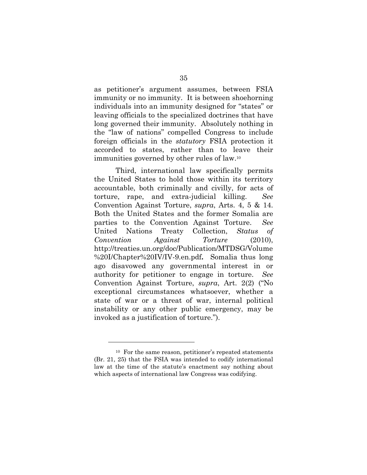as petitioner's argument assumes, between FSIA immunity or no immunity. It is between shoehorning individuals into an immunity designed for "states" or leaving officials to the specialized doctrines that have long governed their immunity. Absolutely nothing in the "law of nations" compelled Congress to include foreign officials in the *statutory* FSIA protection it accorded to states, rather than to leave their immunities governed by other rules of law.10

 Third, international law specifically permits the United States to hold those within its territory accountable, both criminally and civilly, for acts of torture, rape, and extra-judicial killing. *See* Convention Against Torture, *supra*, Arts. 4, 5 & 14. Both the United States and the former Somalia are parties to the Convention Against Torture. *See*  United Nations Treaty Collection, *Status of Convention Against Torture* (2010), http://treaties.un.org/doc/Publication/MTDSG/Volume %20I/Chapter%20IV/IV-9.en.pdf**.** Somalia thus long ago disavowed any governmental interest in or authority for petitioner to engage in torture. *See*  Convention Against Torture, *supra*, Art. 2(2) ("No exceptional circumstances whatsoever, whether a state of war or a threat of war, internal political instability or any other public emergency, may be invoked as a justification of torture.").

<sup>10</sup> For the same reason, petitioner's repeated statements (Br. 21, 25) that the FSIA was intended to codify international law at the time of the statute's enactment say nothing about which aspects of international law Congress was codifying.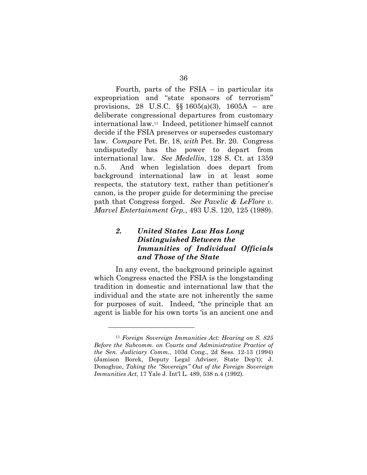Fourth, parts of the FSIA – in particular its expropriation and "state sponsors of terrorism" provisions, 28 U.S.C. §§ 1605(a)(3), 1605A – are deliberate congressional departures from customary international law.11 Indeed, petitioner himself cannot decide if the FSIA preserves or supersedes customary law. *Compare* Pet. Br. 18, *with* Pet. Br. 20. Congress undisputedly has the power to depart from international law. *See Medellin*, 128 S. Ct. at 1359 n.5. And when legislation does depart from background international law in at least some respects, the statutory text, rather than petitioner's canon, is the proper guide for determining the precise path that Congress forged. *See Pavelic & LeFlore v. Marvel Entertainment Grp.*, 493 U.S. 120, 125 (1989).

# *2. United States Law Has Long Distinguished Between the Immunities of Individual Officials and Those of the State*

 In any event, the background principle against which Congress enacted the FSIA is the longstanding tradition in domestic and international law that the individual and the state are not inherently the same for purposes of suit. Indeed, "the principle that an agent is liable for his own torts 'is an ancient one and

<sup>11</sup> *Foreign Sovereign Immunities Act: Hearing on S. 825 Before the Subcomm. on Courts and Administrative Practice of the Sen. Judiciary Comm.*, 103d Cong., 2d Sess. 12-13 (1994) (Jamison Borek, Deputy Legal Adviser, State Dep't); J. Donoghue, *Taking the "Sovereign" Out of the Foreign Sovereign Immunities Act*, 17 Yale J. Int'l L. 489, 538 n.4 (1992).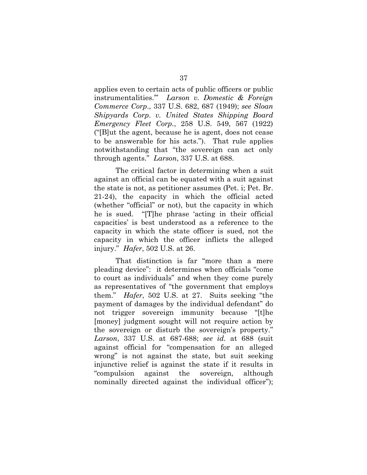applies even to certain acts of public officers or public instrumentalities.'" *Larson v. Domestic & Foreign Commerce Corp*., 337 U.S. 682, 687 (1949); *see Sloan Shipyards Corp*. *v. United States Shipping Board Emergency Fleet Corp.*, 258 U.S. 549, 567 (1922) ("[B]ut the agent, because he is agent, does not cease to be answerable for his acts."). That rule applies notwithstanding that "the sovereign can act only through agents." *Larson*, 337 U.S. at 688.

 The critical factor in determining when a suit against an official can be equated with a suit against the state is not, as petitioner assumes (Pet. i; Pet. Br. 21-24), the capacity in which the official acted (whether "official" or not), but the capacity in which he is sued. "[T]he phrase 'acting in their official capacities' is best understood as a reference to the capacity in which the state officer is sued, not the capacity in which the officer inflicts the alleged injury." *Hafer*, 502 U.S. at 26.

 That distinction is far "more than a mere pleading device": it determines when officials "come to court as individuals" and when they come purely as representatives of "the government that employs them." *Hafer*, 502 U.S. at 27. Suits seeking "the payment of damages by the individual defendant" do not trigger sovereign immunity because "[t]he [money] judgment sought will not require action by the sovereign or disturb the sovereign's property." *Larson*, 337 U.S. at 687-688; *see id.* at 688 (suit against official for "compensation for an alleged wrong" is not against the state, but suit seeking injunctive relief is against the state if it results in "compulsion against the sovereign, although nominally directed against the individual officer");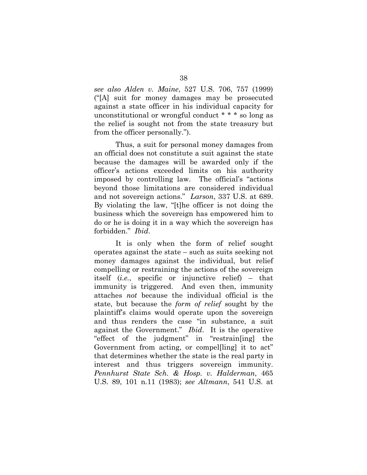*see also Alden v. Maine*, 527 U.S. 706, 757 (1999) ("[A] suit for money damages may be prosecuted against a state officer in his individual capacity for unconstitutional or wrongful conduct \* \* \* so long as the relief is sought not from the state treasury but from the officer personally.").

 Thus, a suit for personal money damages from an official does not constitute a suit against the state because the damages will be awarded only if the officer's actions exceeded limits on his authority imposed by controlling law. The official's "actions beyond those limitations are considered individual and not sovereign actions." *Larson*, 337 U.S. at 689. By violating the law, "[t]he officer is not doing the business which the sovereign has empowered him to do or he is doing it in a way which the sovereign has forbidden." *Ibid*.

 It is only when the form of relief sought operates against the state – such as suits seeking not money damages against the individual, but relief compelling or restraining the actions of the sovereign itself (*i.e.*, specific or injunctive relief) – that immunity is triggered. And even then, immunity attaches *not* because the individual official is the state, but because the *form of relief* sought by the plaintiff's claims would operate upon the sovereign and thus renders the case "in substance, a suit against the Government." *Ibid*. It is the operative "effect of the judgment" in "restrain[ing] the Government from acting, or compel[ling] it to act" that determines whether the state is the real party in interest and thus triggers sovereign immunity. *Pennhurst State Sch. & Hosp. v. Halderman*, 465 U.S. 89, 101 n.11 (1983); *see Altmann*, 541 U.S. at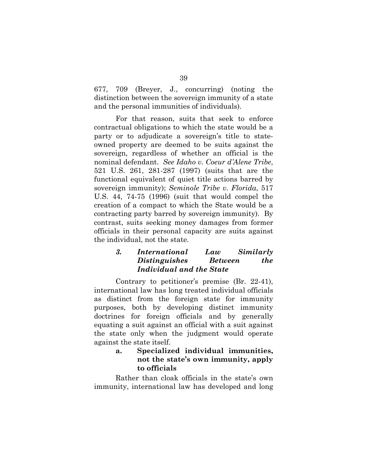677, 709 (Breyer, J., concurring) (noting the distinction between the sovereign immunity of a state and the personal immunities of individuals).

 For that reason, suits that seek to enforce contractual obligations to which the state would be a party or to adjudicate a sovereign's title to stateowned property are deemed to be suits against the sovereign, regardless of whether an official is the nominal defendant. *See Idaho v. Coeur d'Alene Tribe*, 521 U.S. 261, 281-287 (1997) (suits that are the functional equivalent of quiet title actions barred by sovereign immunity); *Seminole Tribe v. Florida*, 517 U.S. 44, 74-75 (1996) (suit that would compel the creation of a compact to which the State would be a contracting party barred by sovereign immunity). By contrast, suits seeking money damages from former officials in their personal capacity are suits against the individual, not the state.

# *3. International Law Similarly Distinguishes Between the Individual and the State*

 Contrary to petitioner's premise (Br. 22-41), international law has long treated individual officials as distinct from the foreign state for immunity purposes, both by developing distinct immunity doctrines for foreign officials and by generally equating a suit against an official with a suit against the state only when the judgment would operate against the state itself.

# **a. Specialized individual immunities, not the state's own immunity, apply to officials**

Rather than cloak officials in the state's own immunity, international law has developed and long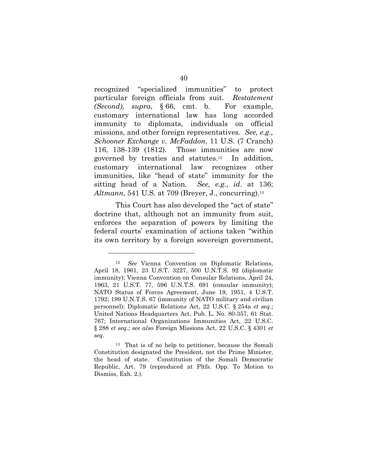recognized "specialized immunities" to protect particular foreign officials from suit. *Restatement (Second), supra*, § 66, cmt. b. For example, customary international law has long accorded immunity to diplomats, individuals on official missions, and other foreign representatives. *See, e.g., Schooner Exchange v. McFaddon*, 11 U.S. (7 Cranch) 116, 138-139 (1812). Those immunities are now governed by treaties and statutes.12 In addition, customary international law recognizes other immunities, like "head of state" immunity for the sitting head of a Nation. *See, e.g.*, *id*. at 136; *Altmann*, 541 U.S. at 709 (Breyer, J., concurring).<sup>13</sup>

This Court has also developed the "act of state" doctrine that, although not an immunity from suit, enforces the separation of powers by limiting the federal courts' examination of actions taken "within its own territory by a foreign sovereign government,

<sup>12</sup> *See* Vienna Convention on Diplomatic Relations, April 18, 1961, 23 U.S.T. 3227, 500 U.N.T.S. 92 (diplomatic immunity); Vienna Convention on Consular Relations, April 24, 1963, 21 U.S.T. 77, 596 U.N.T.S. 691 (consular immunity); NATO Status of Forces Agreement, June 19, 1951, 4 U.S.T. 1792; 199 U.N.T.S. 67 (immunity of NATO military and civilian personnel); Diplomatic Relations Act, 22 U.S.C. § 254a *et seq.*; United Nations Headquarters Act, Pub. L. No. 80-357, 61 Stat. 767; International Organizations Immunities Act, 22 U.S.C. § 288 *et seq.; see also* Foreign Missions Act, 22 U.S.C. § 4301 *et seq*.

<sup>13</sup> That is of no help to petitioner, because the Somali Constitution designated the President, not the Prime Minister, the head of state. Constitution of the Somali Democratic Republic, Art. 79 (reproduced at Pltfs. Opp. To Motion to Dismiss, Exh. 2.).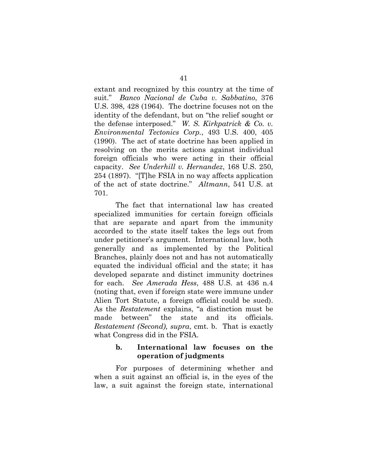extant and recognized by this country at the time of suit." *Banco Nacional de Cuba v. Sabbatino*, 376 U.S. 398, 428 (1964). The doctrine focuses not on the identity of the defendant, but on "the relief sought or the defense interposed." *W. S. Kirkpatrick & Co. v. Environmental Tectonics Corp.*, 493 U.S. 400, 405 (1990). The act of state doctrine has been applied in resolving on the merits actions against individual foreign officials who were acting in their official capacity. *See Underhill v. Hernandez*, 168 U.S. 250, 254 (1897). "[T]he FSIA in no way affects application of the act of state doctrine." *Altmann*, 541 U.S. at 701.

The fact that international law has created specialized immunities for certain foreign officials that are separate and apart from the immunity accorded to the state itself takes the legs out from under petitioner's argument. International law, both generally and as implemented by the Political Branches, plainly does not and has not automatically equated the individual official and the state; it has developed separate and distinct immunity doctrines for each. *See Amerada Hess*, 488 U.S. at 436 n.4 (noting that, even if foreign state were immune under Alien Tort Statute, a foreign official could be sued). As the *Restatement* explains, "a distinction must be made between" the state and its officials. *Restatement (Second), supra*, cmt. b. That is exactly what Congress did in the FSIA.

### **b. International law focuses on the operation of judgments**

For purposes of determining whether and when a suit against an official is, in the eyes of the law, a suit against the foreign state, international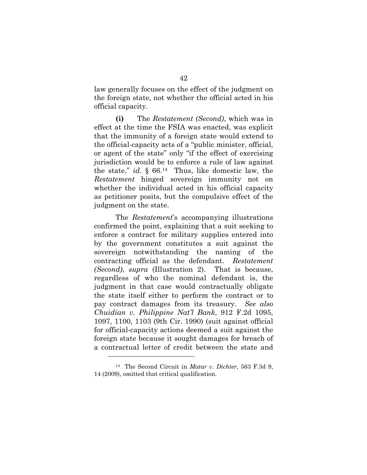law generally focuses on the effect of the judgment on the foreign state, not whether the official acted in his official capacity.

**(i)** The *Restatement (Second)*, which was in effect at the time the FSIA was enacted, was explicit that the immunity of a foreign state would extend to the official-capacity acts of a "public minister, official, or agent of the state" only "if the effect of exercising jurisdiction would be to enforce a rule of law against the state," *id.* § 66.14 Thus, like domestic law, the *Restatement* hinged sovereign immunity not on whether the individual acted in his official capacity as petitioner posits, but the compulsive effect of the judgment on the state.

The *Restatement*'s accompanying illustrations confirmed the point, explaining that a suit seeking to enforce a contract for military supplies entered into by the government constitutes a suit against the sovereign notwithstanding the naming of the contracting official as the defendant. *Restatement (Second), supra* (Illustration 2). That is because, regardless of who the nominal defendant is, the judgment in that case would contractually obligate the state itself either to perform the contract or to pay contract damages from its treasury. *See also Chuidian v. Philippine Nat'l Bank*, 912 F.2d 1095, 1097, 1100, 1103 (9th Cir. 1990) (suit against official for official-capacity actions deemed a suit against the foreign state because it sought damages for breach of a contractual letter of credit between the state and

<sup>14</sup> The Second Circuit in *Matar v. Dichter*, 563 F.3d 9, 14 (2009), omitted that critical qualification.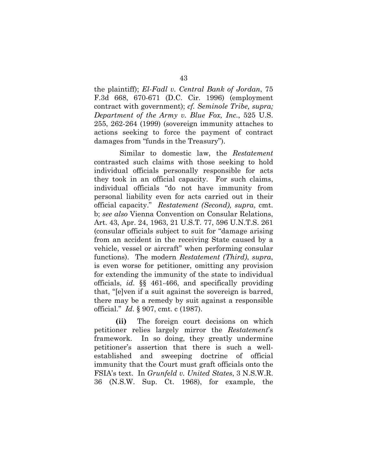the plaintiff); *El-Fadl v. Central Bank of Jordan*, 75 F.3d 668, 670-671 (D.C. Cir. 1996) (employment contract with government); *cf. Seminole Tribe, supra; Department of the Army v. Blue Fox, Inc.*, 525 U.S. 255, 262-264 (1999) (sovereign immunity attaches to actions seeking to force the payment of contract damages from "funds in the Treasury").

 Similar to domestic law, the *Restatement* contrasted such claims with those seeking to hold individual officials personally responsible for acts they took in an official capacity. For such claims, individual officials "do not have immunity from personal liability even for acts carried out in their official capacity." *Restatement (Second), supra*, cmt. b; *see also* Vienna Convention on Consular Relations, Art. 43, Apr. 24, 1963, 21 U.S.T. 77, 596 U.N.T.S. 261 (consular officials subject to suit for "damage arising from an accident in the receiving State caused by a vehicle, vessel or aircraft" when performing consular functions). The modern *Restatement (Third)*, *supra*, is even worse for petitioner, omitting any provision for extending the immunity of the state to individual officials, *id*. §§ 461-466, and specifically providing that, "[e]ven if a suit against the sovereign is barred, there may be a remedy by suit against a responsible official." *Id*. § 907, cmt. c (1987).

**(ii)** The foreign court decisions on which petitioner relies largely mirror the *Restatement*'s framework. In so doing, they greatly undermine petitioner's assertion that there is such a wellestablished and sweeping doctrine of official immunity that the Court must graft officials onto the FSIA's text. In *Grunfeld v. United States*, 3 N.S.W.R. 36 (N.S.W. Sup. Ct. 1968), for example, the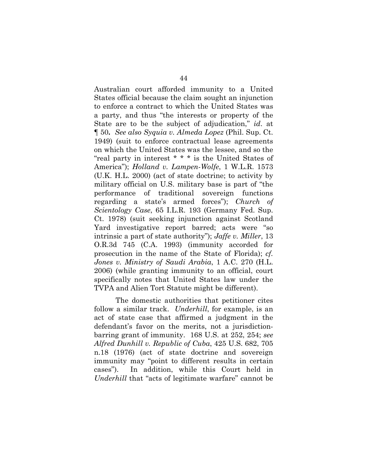Australian court afforded immunity to a United States official because the claim sought an injunction to enforce a contract to which the United States was a party, and thus "the interests or property of the State are to be the subject of adjudication," *id*. at ¶ 50**.** *See also Syquia v. Almeda Lopez* (Phil. Sup. Ct. 1949) (suit to enforce contractual lease agreements on which the United States was the lessee, and so the "real party in interest \* \* \* is the United States of America"); *Holland v. Lampen-Wolfe*, 1 W.L.R. 1573 (U.K. H.L. 2000) (act of state doctrine; to activity by military official on U.S. military base is part of "the performance of traditional sovereign functions regarding a state's armed forces"); *Church of Scientology Case*, 65 I.L.R. 193 (Germany Fed. Sup. Ct. 1978) (suit seeking injunction against Scotland Yard investigative report barred; acts were "so intrinsic a part of state authority"); *Jaffe v. Miller*, 13 O.R.3d 745 (C.A. 1993) (immunity accorded for prosecution in the name of the State of Florida); *cf. Jones v. Ministry of Saudi Arabia*, 1 A.C. 270 (H.L. 2006) (while granting immunity to an official, court specifically notes that United States law under the TVPA and Alien Tort Statute might be different).

The domestic authorities that petitioner cites follow a similar track. *Underhill*, for example, is an act of state case that affirmed a judgment in the defendant's favor on the merits, not a jurisdictionbarring grant of immunity. 168 U.S. at 252, 254; *see Alfred Dunhill v. Republic of Cuba*, 425 U.S. 682, 705 n.18 (1976) (act of state doctrine and sovereign immunity may "point to different results in certain cases"). In addition, while this Court held in *Underhill* that "acts of legitimate warfare" cannot be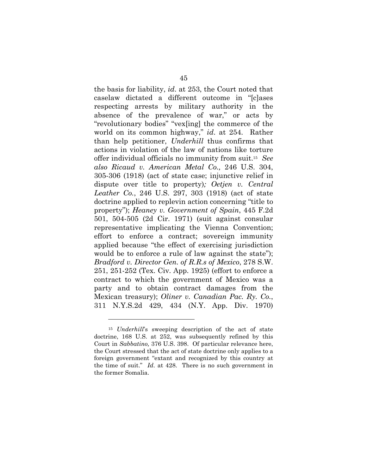the basis for liability, *id*. at 253, the Court noted that caselaw dictated a different outcome in "[c]ases respecting arrests by military authority in the absence of the prevalence of war," or acts by "revolutionary bodies" "vex[ing] the commerce of the world on its common highway," *id*. at 254. Rather than help petitioner, *Underhill* thus confirms that actions in violation of the law of nations like torture offer individual officials no immunity from suit.15 *See also Ricaud v. American Metal Co.,* 246 U.S. 304, 305-306 (1918) (act of state case; injunctive relief in dispute over title to property)*; Oetjen v. Central Leather Co.*, 246 U.S. 297, 303 (1918) (act of state doctrine applied to replevin action concerning "title to property"); *Heaney v. Government of Spain*, 445 F.2d 501, 504-505 (2d Cir. 1971) (suit against consular representative implicating the Vienna Convention; effort to enforce a contract; sovereign immunity applied because "the effect of exercising jurisdiction would be to enforce a rule of law against the state"); *Bradford v. Director Gen. of R.R.s of Mexico*, 278 S.W. 251, 251-252 (Tex. Civ. App. 1925) (effort to enforce a contract to which the government of Mexico was a party and to obtain contract damages from the Mexican treasury); *Oliner v. Canadian Pac. Ry. Co.*, 311 N.Y.S.2d 429, 434 (N.Y. App. Div. 1970)

<sup>15</sup> *Underhill*'s sweeping description of the act of state doctrine, 168 U.S. at 252, was subsequently refined by this Court in *Sabbatino,* 376 U.S. 398. Of particular relevance here, the Court stressed that the act of state doctrine only applies to a foreign government "extant and recognized by this country at the time of suit." *Id*. at 428. There is no such government in the former Somalia.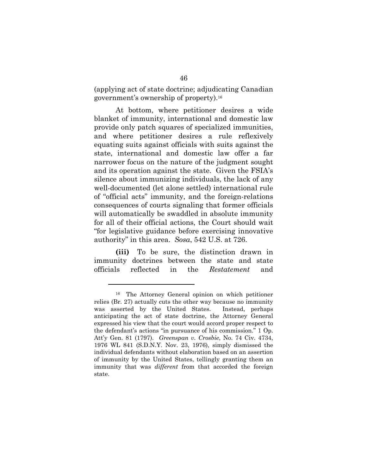(applying act of state doctrine; adjudicating Canadian government's ownership of property).16

At bottom, where petitioner desires a wide blanket of immunity, international and domestic law provide only patch squares of specialized immunities, and where petitioner desires a rule reflexively equating suits against officials with suits against the state, international and domestic law offer a far narrower focus on the nature of the judgment sought and its operation against the state. Given the FSIA's silence about immunizing individuals, the lack of any well-documented (let alone settled) international rule of "official acts" immunity, and the foreign-relations consequences of courts signaling that former officials will automatically be swaddled in absolute immunity for all of their official actions, the Court should wait "for legislative guidance before exercising innovative authority" in this area. *Sosa*, 542 U.S. at 726.

**(iii)** To be sure, the distinction drawn in immunity doctrines between the state and state officials reflected in the *Restatement* and

<sup>16</sup> The Attorney General opinion on which petitioner relies (Br. 27) actually cuts the other way because no immunity was asserted by the United States. Instead, perhaps anticipating the act of state doctrine, the Attorney General expressed his view that the court would accord proper respect to the defendant's actions "in pursuance of his commission." 1 Op. Att'y Gen. 81 (1797). *Greenspan v. Crosbie*, No. 74 Civ. 4734, 1976 WL 841 (S.D.N.Y. Nov. 23, 1976), simply dismissed the individual defendants without elaboration based on an assertion of immunity by the United States, tellingly granting them an immunity that was *different* from that accorded the foreign state.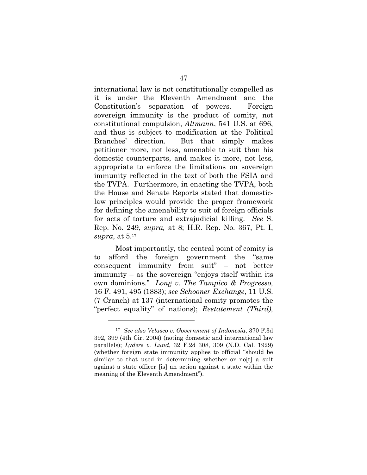international law is not constitutionally compelled as it is under the Eleventh Amendment and the Constitution's separation of powers. Foreign sovereign immunity is the product of comity, not constitutional compulsion, *Altmann*, 541 U.S. at 696, and thus is subject to modification at the Political Branches' direction. But that simply makes petitioner more, not less, amenable to suit than his domestic counterparts, and makes it more, not less, appropriate to enforce the limitations on sovereign immunity reflected in the text of both the FSIA and the TVPA. Furthermore, in enacting the TVPA, both the House and Senate Reports stated that domesticlaw principles would provide the proper framework for defining the amenability to suit of foreign officials for acts of torture and extrajudicial killing. *See* S. Rep. No. 249, *supra,* at 8; H.R. Rep. No. 367, Pt. I, *supra,* at 5.17

Most importantly, the central point of comity is to afford the foreign government the "same consequent immunity from suit" – not better immunity – as the sovereign "enjoys itself within its own dominions." *Long v. The Tampico & Progresso,*  16 F. 491, 495 (1883); *see Schooner Exchange*, 11 U.S. (7 Cranch) at 137 (international comity promotes the "perfect equality" of nations); *Restatement (Third),* 

<sup>17</sup> *See also Velasco v. Government of Indonesia*, 370 F.3d 392, 399 (4th Cir. 2004) (noting domestic and international law parallels); *Lyders v. Lund*, 32 F.2d 308, 309 (N.D. Cal. 1929) (whether foreign state immunity applies to official "should be similar to that used in determining whether or no[t] a suit against a state officer [is] an action against a state within the meaning of the Eleventh Amendment").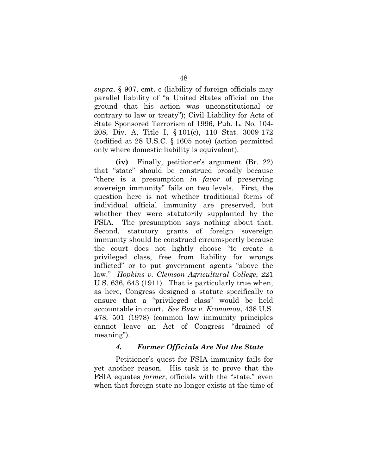*supra*, § 907, cmt. c (liability of foreign officials may parallel liability of "a United States official on the ground that his action was unconstitutional or contrary to law or treaty"); Civil Liability for Acts of State Sponsored Terrorism of 1996, Pub. L. No. 104- 208, Div. A, Title I, § 101(c), 110 Stat. 3009-172 (codified at 28 U.S.C. § 1605 note) (action permitted only where domestic liability is equivalent).

**(iv)** Finally, petitioner's argument (Br. 22) that "state" should be construed broadly because "there is a presumption *in favor* of preserving sovereign immunity" fails on two levels. First, the question here is not whether traditional forms of individual official immunity are preserved, but whether they were statutorily supplanted by the FSIA. The presumption says nothing about that. Second, statutory grants of foreign sovereign immunity should be construed circumspectly because the court does not lightly choose "to create a privileged class, free from liability for wrongs inflicted" or to put government agents "above the law." *Hopkins v. Clemson Agricultural College*, 221 U.S. 636, 643 (1911). That is particularly true when, as here, Congress designed a statute specifically to ensure that a "privileged class" would be held accountable in court. *See Butz v. Economou*, 438 U.S. 478, 501 (1978) (common law immunity principles cannot leave an Act of Congress "drained of meaning").

#### *4. Former Officials Are Not the State*

Petitioner's quest for FSIA immunity fails for yet another reason. His task is to prove that the FSIA equates *former*, officials with the "state," even when that foreign state no longer exists at the time of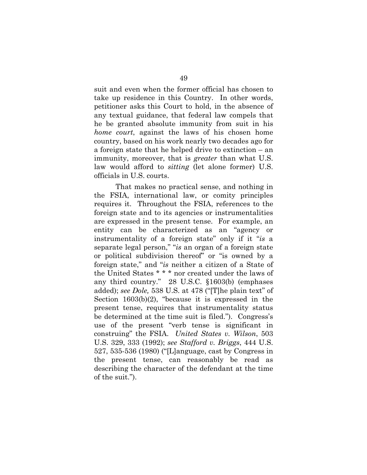suit and even when the former official has chosen to take up residence in this Country. In other words, petitioner asks this Court to hold, in the absence of any textual guidance, that federal law compels that he be granted absolute immunity from suit in his *home court*, against the laws of his chosen home country, based on his work nearly two decades ago for a foreign state that he helped drive to extinction – an immunity, moreover, that is *greater* than what U.S. law would afford to *sitting* (let alone former) U.S. officials in U.S. courts.

That makes no practical sense, and nothing in the FSIA, international law, or comity principles requires it. Throughout the FSIA, references to the foreign state and to its agencies or instrumentalities are expressed in the present tense. For example, an entity can be characterized as an "agency or instrumentality of a foreign state" only if it "*is* a separate legal person," "*is* an organ of a foreign state or political subdivision thereof" or "is owned by a foreign state," and "*is* neither a citizen of a State of the United States \* \* \* nor created under the laws of any third country." 28 U.S.C. §1603(b) (emphases added); *see Dole,* 538 U.S. at 478 ("[T]he plain text" of Section 1603(b)(2), "because it is expressed in the present tense, requires that instrumentality status be determined at the time suit is filed."). Congress's use of the present "verb tense is significant in construing" the FSIA. *United States v. Wilson*, 503 U.S. 329, 333 (1992); *see Stafford v. Briggs*, 444 U.S. 527, 535-536 (1980) ("[L]anguage, cast by Congress in the present tense, can reasonably be read as describing the character of the defendant at the time of the suit.").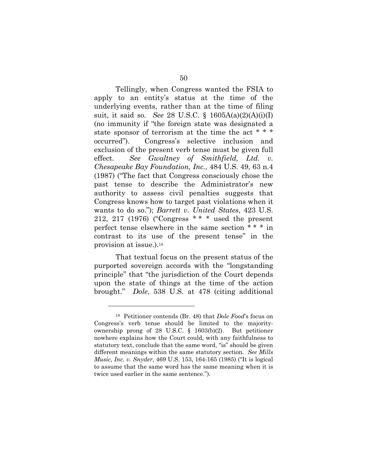Tellingly, when Congress wanted the FSIA to apply to an entity's status at the time of the underlying events, rather than at the time of filing suit, it said so. *See* 28 U.S.C. § 1605A(a)(2)(A)(i)(I) (no immunity if "the foreign state was designated a state sponsor of terrorism at the time the act \* \* \* occurred"). Congress's selective inclusion and exclusion of the present verb tense must be given full effect. *See Gwaltney of Smithfield, Ltd. v. Chesapeake Bay Foundation, Inc.*, 484 U.S. 49, 63 n.4 (1987) ("The fact that Congress consciously chose the past tense to describe the Administrator's new authority to assess civil penalties suggests that Congress knows how to target past violations when it wants to do so."); *Barrett v. United States*, 423 U.S. 212, 217 (1976) ("Congress \* \* \* used the present perfect tense elsewhere in the same section \* \* \* in contrast to its use of the present tense" in the provision at issue.).18

That textual focus on the present status of the purported sovereign accords with the "longstanding principle" that "the jurisdiction of the Court depends upon the state of things at the time of the action brought." *Dole*, 538 U.S. at 478 (citing additional

<sup>18</sup> Petitioner contends (Br. 48) that *Dole Food*'s focus on Congress's verb tense should be limited to the majorityownership prong of 28 U.S.C. § 1603(b)(2). But petitioner nowhere explains how the Court could, with any faithfulness to statutory text, conclude that the same word, "is" should be given different meanings within the same statutory section. *See Mills Music, Inc. v. Snyder*, 469 U.S. 153, 164-165 (1985) ("It is logical to assume that the same word has the same meaning when it is twice used earlier in the same sentence.").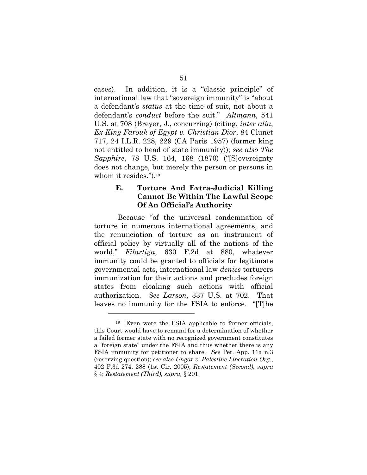cases). In addition, it is a "classic principle" of international law that "sovereign immunity" is "about a defendant's *status* at the time of suit, not about a defendant's *conduct* before the suit." *Altmann*, 541 U.S. at 708 (Breyer, J., concurring) (citing, *inter alia*, *Ex-King Farouk of Egypt v. Christian Dior*, 84 Clunet 717, 24 I.L.R. 228, 229 (CA Paris 1957) (former king not entitled to head of state immunity)); *see also The Sapphire*, 78 U.S. 164, 168 (1870) ("[S]overeignty does not change, but merely the person or persons in whom it resides.").<sup>19</sup>

#### **E. Torture And Extra-Judicial Killing Cannot Be Within The Lawful Scope Of An Official's Authority**

 Because "of the universal condemnation of torture in numerous international agreements, and the renunciation of torture as an instrument of official policy by virtually all of the nations of the world," *Filartiga*, 630 F.2d at 880, whatever immunity could be granted to officials for legitimate governmental acts, international law *denies* torturers immunization for their actions and precludes foreign states from cloaking such actions with official authorization. *See Larson*, 337 U.S. at 702. That leaves no immunity for the FSIA to enforce. "[T]he

<sup>19</sup> Even were the FSIA applicable to former officials, this Court would have to remand for a determination of whether a failed former state with no recognized government constitutes a "foreign state" under the FSIA and thus whether there is any FSIA immunity for petitioner to share. *See* Pet. App. 11a n.3 (reserving question); *see also Ungar v. Palestine Liberation Org.*, 402 F.3d 274, 288 (1st Cir. 2005); *Restatement (Second), supra* § 4; *Restatement (Third), supra,* § 201.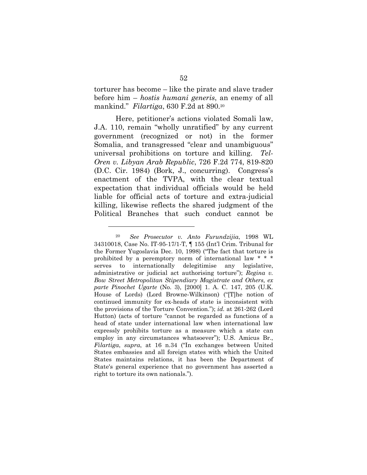torturer has become – like the pirate and slave trader before him – *hostis humani generis*, an enemy of all mankind." *Filartiga*, 630 F.2d at 890.20

 Here, petitioner's actions violated Somali law, J.A. 110, remain "wholly unratified" by any current government (recognized or not) in the former Somalia, and transgressed "clear and unambiguous" universal prohibitions on torture and killing. *Tel-Oren v. Libyan Arab Republic*, 726 F.2d 774, 819-820 (D.C. Cir. 1984) (Bork, J., concurring). Congress's enactment of the TVPA, with the clear textual expectation that individual officials would be held liable for official acts of torture and extra-judicial killing, likewise reflects the shared judgment of the Political Branches that such conduct cannot be

<sup>20</sup> *See Prosecutor v. Anto Furundzijia*, 1998 WL 34310018, Case No. IT-95-17/1-T, ¶ 155 (Int'l Crim. Tribunal for the Former Yugoslavia Dec. 10, 1998) ("The fact that torture is prohibited by a peremptory norm of international law \* \* \* serves to internationally delegitimise any legislative, administrative or judicial act authorising torture"); *Regina v. Bow Street Metropolitan Stipendiary Magistrate and Others, ex parte Pinochet Ugarte* (No. 3), [2000] 1. A. C. 147, 205 (U.K. House of Lords) (Lord Browne-Wilkinson) ("[T]he notion of continued immunity for ex-heads of state is inconsistent with the provisions of the Torture Convention."); *id.* at 261-262 (Lord Hutton) (acts of torture "cannot be regarded as functions of a head of state under international law when international law expressly prohibits torture as a measure which a state can employ in any circumstances whatsoever"); U.S. Amicus Br., *Filartiga*, *supra*, at 16 n.34 ("In exchanges between United States embassies and all foreign states with which the United States maintains relations, it has been the Department of State's general experience that no government has asserted a right to torture its own nationals.").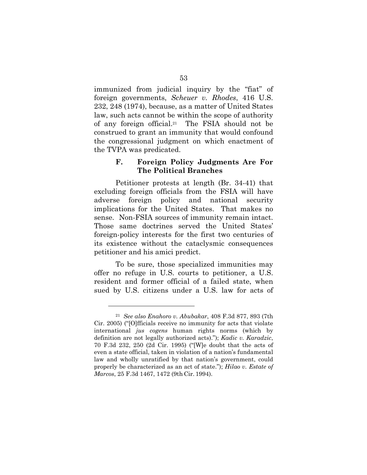immunized from judicial inquiry by the "fiat" of foreign governments, *Scheuer v. Rhodes*, 416 U.S. 232, 248 (1974), because, as a matter of United States law, such acts cannot be within the scope of authority of any foreign official.21 The FSIA should not be construed to grant an immunity that would confound the congressional judgment on which enactment of the TVPA was predicated.

#### **F. Foreign Policy Judgments Are For The Political Branches**

Petitioner protests at length (Br. 34-41) that excluding foreign officials from the FSIA will have adverse foreign policy and national security implications for the United States. That makes no sense. Non-FSIA sources of immunity remain intact. Those same doctrines served the United States' foreign-policy interests for the first two centuries of its existence without the cataclysmic consequences petitioner and his amici predict.

To be sure, those specialized immunities may offer no refuge in U.S. courts to petitioner, a U.S. resident and former official of a failed state, when sued by U.S. citizens under a U.S. law for acts of

<sup>21</sup> *See also Enahoro v. Abubakar*, 408 F.3d 877, 893 (7th Cir. 2005) ("[O]fficials receive no immunity for acts that violate international *jus cogens* human rights norms (which by definition are not legally authorized acts)."); *Kadic v. Karadzic*, 70 F.3d 232, 250 (2d Cir. 1995) ("[W]e doubt that the acts of even a state official, taken in violation of a nation's fundamental law and wholly unratified by that nation's government, could properly be characterized as an act of state."); *Hilao v. Estate of Marcos*, 25 F.3d 1467, 1472 (9th Cir. 1994).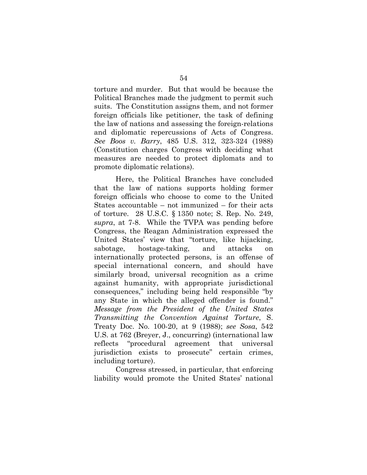torture and murder. But that would be because the Political Branches made the judgment to permit such suits. The Constitution assigns them, and not former foreign officials like petitioner, the task of defining the law of nations and assessing the foreign-relations and diplomatic repercussions of Acts of Congress. *See Boos v. Barry*, 485 U.S. 312, 323-324 (1988) (Constitution charges Congress with deciding what measures are needed to protect diplomats and to promote diplomatic relations).

 Here, the Political Branches have concluded that the law of nations supports holding former foreign officials who choose to come to the United States accountable – not immunized – for their acts of torture. 28 U.S.C. § 1350 note; S. Rep. No. 249, *supra*, at 7-8. While the TVPA was pending before Congress, the Reagan Administration expressed the United States' view that "torture, like hijacking, sabotage, hostage-taking, and attacks on internationally protected persons, is an offense of special international concern, and should have similarly broad, universal recognition as a crime against humanity, with appropriate jurisdictional consequences," including being held responsible "by any State in which the alleged offender is found." *Message from the President of the United States Transmitting the Convention Against Torture*, S. Treaty Doc. No. 100-20, at 9 (1988); *see Sosa*, 542 U.S. at 762 (Breyer, J., concurring) (international law reflects "procedural agreement that universal jurisdiction exists to prosecute" certain crimes, including torture).

Congress stressed, in particular, that enforcing liability would promote the United States' national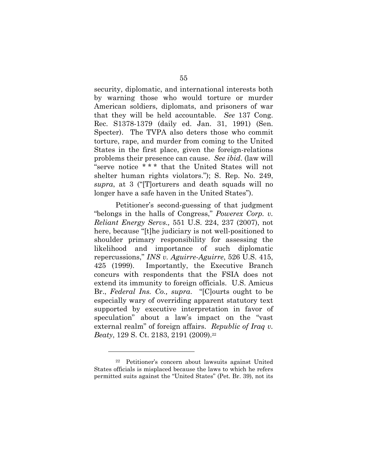security, diplomatic, and international interests both by warning those who would torture or murder American soldiers, diplomats, and prisoners of war that they will be held accountable. *See* 137 Cong. Rec. S1378-1379 (daily ed. Jan. 31, 1991) (Sen. Specter). The TVPA also deters those who commit torture, rape, and murder from coming to the United States in the first place, given the foreign-relations problems their presence can cause. *See ibid*. (law will "serve notice \* \* \* that the United States will not shelter human rights violators."); S. Rep. No. 249, *supra*, at 3 ("[T]orturers and death squads will no longer have a safe haven in the United States").

Petitioner's second-guessing of that judgment "belongs in the halls of Congress," *Powerex Corp. v. Reliant Energy Servs.,* 551 U.S. 224, 237 (2007), not here, because "[t]he judiciary is not well-positioned to shoulder primary responsibility for assessing the likelihood and importance of such diplomatic repercussions," *INS v. Aguirre-Aguirre*, 526 U.S. 415, 425 (1999). Importantly, the Executive Branch concurs with respondents that the FSIA does not extend its immunity to foreign officials. U.S. Amicus Br., *Federal Ins. Co., supra*. "[C]ourts ought to be especially wary of overriding apparent statutory text supported by executive interpretation in favor of speculation" about a law's impact on the "vast external realm" of foreign affairs. *Republic of Iraq v. Beaty*, 129 S. Ct. 2183, 2191 (2009).<sup>22</sup>

<sup>22</sup> Petitioner's concern about lawsuits against United States officials is misplaced because the laws to which he refers permitted suits against the "United States" (Pet. Br. 39), not its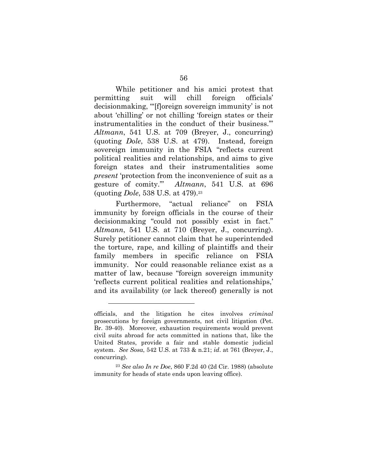While petitioner and his amici protest that permitting suit will chill foreign officials' decisionmaking, "'[f]oreign sovereign immunity' is not about 'chilling' or not chilling 'foreign states or their instrumentalities in the conduct of their business.'" *Altmann*, 541 U.S. at 709 (Breyer, J., concurring) (quoting *Dole*, 538 U.S. at 479). Instead, foreign sovereign immunity in the FSIA "reflects current political realities and relationships, and aims to give foreign states and their instrumentalities some *present* 'protection from the inconvenience of suit as a gesture of comity.'" *Altmann*, 541 U.S. at 696 (quoting *Dole*, 538 U.S. at 479).23

Furthermore, "actual reliance" on FSIA immunity by foreign officials in the course of their decisionmaking "could not possibly exist in fact." *Altmann*, 541 U.S. at 710 (Breyer, J., concurring). Surely petitioner cannot claim that he superintended the torture, rape, and killing of plaintiffs and their family members in specific reliance on FSIA immunity. Nor could reasonable reliance exist as a matter of law, because "foreign sovereign immunity 'reflects current political realities and relationships,' and its availability (or lack thereof) generally is not

officials, and the litigation he cites involves *criminal*  prosecutions by foreign governments, not civil litigation (Pet. Br. 39-40). Moreover, exhaustion requirements would prevent civil suits abroad for acts committed in nations that, like the United States, provide a fair and stable domestic judicial system. *See Sosa*, 542 U.S. at 733 & n.21; *id*. at 761 (Breyer, J., concurring).

<sup>23</sup> *See also In re Doe*, 860 F.2d 40 (2d Cir. 1988) (absolute immunity for heads of state ends upon leaving office).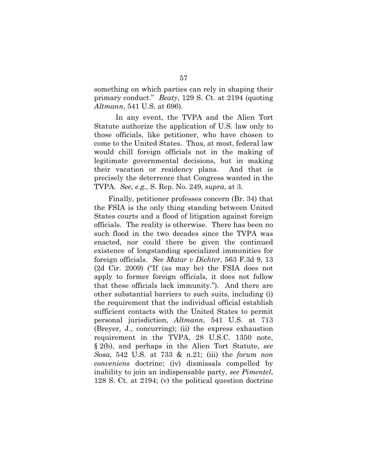something on which parties can rely in shaping their primary conduct." *Beaty*, 129 S. Ct. at 2194 (quoting *Altmann*, 541 U.S. at 696).

In any event, the TVPA and the Alien Tort Statute authorize the application of U.S. law only to those officials, like petitioner, who have chosen to come to the United States. Thus, at most, federal law would chill foreign officials not in the making of legitimate governmental decisions, but in making their vacation or residency plans. And that is precisely the deterrence that Congress wanted in the TVPA. *See, e.g.,* S. Rep. No. 249, *supra*, at 3.

Finally, petitioner professes concern (Br. 34) that the FSIA is the only thing standing between United States courts and a flood of litigation against foreign officials. The reality is otherwise. There has been no such flood in the two decades since the TVPA was enacted, nor could there be given the continued existence of longstanding specialized immunities for foreign officials. *See Matar v Dichter*, 563 F.3d 9, 13 (2d Cir. 2009) ("If (as may be) the FSIA does not apply to former foreign officials, it does not follow that these officials lack immunity."). And there are other substantial barriers to such suits, including (i) the requirement that the individual official establish sufficient contacts with the United States to permit personal jurisdiction, *Altmann*, 541 U.S. at 713 (Breyer, J., concurring); (ii) the express exhaustion requirement in the TVPA, 28 U.S.C. 1350 note, § 2(b), and perhaps in the Alien Tort Statute, *see Sosa*, 542 U.S. at 733 & n.21; (iii) the *forum non conveniens* doctrine; (iv) dismissals compelled by inability to join an indispensable party, *see Pimentel*, 128 S. Ct. at 2194; (v) the political question doctrine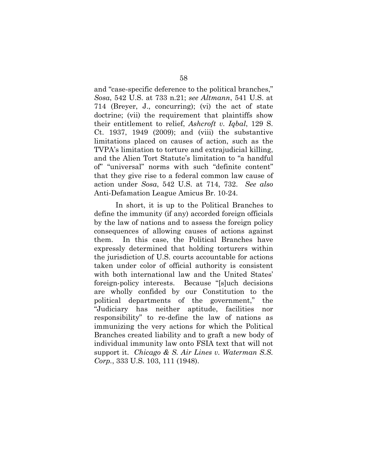and "case-specific deference to the political branches," *Sosa*, 542 U.S. at 733 n.21; *see Altmann*, 541 U.S. at 714 (Breyer, J., concurring); (vi) the act of state doctrine; (vii) the requirement that plaintiffs show their entitlement to relief, *Ashcroft v. Iqbal*, 129 S. Ct. 1937, 1949 (2009); and (viii) the substantive limitations placed on causes of action, such as the TVPA's limitation to torture and extrajudicial killing, and the Alien Tort Statute's limitation to "a handful of" "universal" norms with such "definite content" that they give rise to a federal common law cause of action under *Sosa*, 542 U.S. at 714, 732. *See also*  Anti-Defamation League Amicus Br. 10-24.

In short, it is up to the Political Branches to define the immunity (if any) accorded foreign officials by the law of nations and to assess the foreign policy consequences of allowing causes of actions against them. In this case, the Political Branches have expressly determined that holding torturers within the jurisdiction of U.S. courts accountable for actions taken under color of official authority is consistent with both international law and the United States' foreign-policy interests. Because "[s]uch decisions are wholly confided by our Constitution to the political departments of the government," the "Judiciary has neither aptitude, facilities nor responsibility" to re-define the law of nations as immunizing the very actions for which the Political Branches created liability and to graft a new body of individual immunity law onto FSIA text that will not support it. *Chicago & S. Air Lines v. Waterman S.S. Corp.*, 333 U.S. 103, 111 (1948).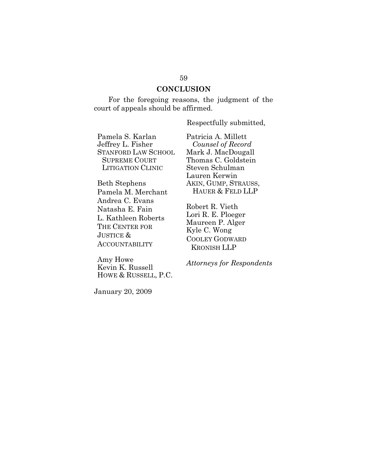### **CONCLUSION**

For the foregoing reasons, the judgment of the court of appeals should be affirmed.

Respectfully submitted,

Pamela S. Karlan Jeffrey L. Fisher STANFORD LAW SCHOOL SUPREME COURT LITIGATION CLINIC

Beth Stephens Pamela M. Merchant Andrea C. Evans Natasha E. Fain L. Kathleen Roberts THE CENTER FOR JUSTICE & ACCOUNTABILITY

Amy Howe Kevin K. Russell HOWE & RUSSELL, P.C. Patricia A. Millett *Counsel of Record*  Mark J. MacDougall Thomas C. Goldstein Steven Schulman Lauren Kerwin AKIN, GUMP, STRAUSS, HAUER & FELD LLP

Robert R. Vieth Lori R. E. Ploeger Maureen P. Alger Kyle C. Wong COOLEY GODWARD KRONISH LLP

*Attorneys for Respondents* 

January 20, 2009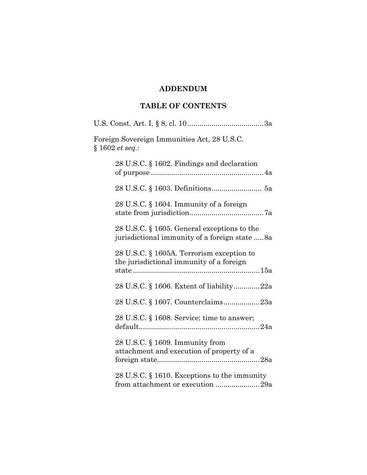# **ADDENDUM**

# **TABLE OF CONTENTS**

| Foreign Sovereign Immunities Act, 28 U.S.C.<br>$§ 1602$ <i>et seq.</i> :                        |
|-------------------------------------------------------------------------------------------------|
| 28 U.S.C. § 1602. Findings and declaration                                                      |
| 28 U.S.C. § 1603. Definitions 5a                                                                |
| 28 U.S.C. § 1604. Immunity of a foreign                                                         |
| 28 U.S.C. $\S$ 1605. General exceptions to the<br>jurisdictional immunity of a foreign state 8a |
| 28 U.S.C. § 1605A. Terrorism exception to<br>the jurisdictional immunity of a foreign           |
| 28 U.S.C. § 1606. Extent of liability22a                                                        |
| 28 U.S.C. § 1607. Counterclaims23a                                                              |
| 28 U.S.C. § 1608. Service; time to answer;                                                      |
| 28 U.S.C. § 1609. Immunity from<br>attachment and execution of property of a                    |
| 28 U.S.C. § 1610. Exceptions to the immunity<br>from attachment or execution 29a                |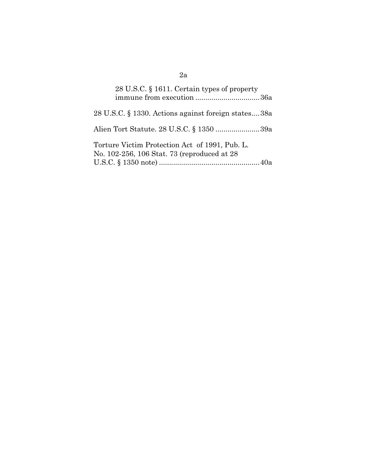| 28 U.S.C. § 1611. Certain types of property<br>immune from execution 36a                      |  |
|-----------------------------------------------------------------------------------------------|--|
| 28 U.S.C. § 1330. Actions against foreign states38a                                           |  |
| Alien Tort Statute. 28 U.S.C. § 1350 39a                                                      |  |
| Torture Victim Protection Act of 1991, Pub. L.<br>No. 102-256, 106 Stat. 73 (reproduced at 28 |  |

# 2a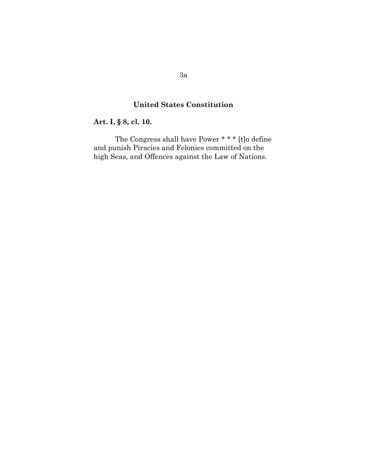# **United States Constitution**

# **Art. I, § 8, cl. 10.**

The Congress shall have Power \* \* \* [t]o define and punish Piracies and Felonies committed on the high Seas, and Offences against the Law of Nations.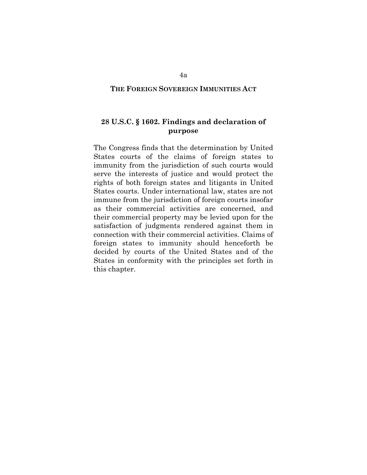#### **THE FOREIGN SOVEREIGN IMMUNITIES ACT**

# **28 U.S.C. § 1602. Findings and declaration of purpose**

The Congress finds that the determination by United States courts of the claims of foreign states to immunity from the jurisdiction of such courts would serve the interests of justice and would protect the rights of both foreign states and litigants in United States courts. Under international law, states are not immune from the jurisdiction of foreign courts insofar as their commercial activities are concerned, and their commercial property may be levied upon for the satisfaction of judgments rendered against them in connection with their commercial activities. Claims of foreign states to immunity should henceforth be decided by courts of the United States and of the States in conformity with the principles set forth in this chapter.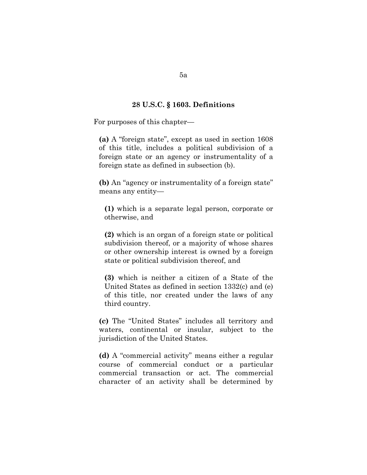#### **28 U.S.C. § 1603. Definitions**

For purposes of this chapter—

**(a)** A "foreign state", except as used in section 1608 of this title, includes a political subdivision of a foreign state or an agency or instrumentality of a foreign state as defined in subsection (b).

**(b)** An "agency or instrumentality of a foreign state" means any entity—

**(1)** which is a separate legal person, corporate or otherwise, and

**(2)** which is an organ of a foreign state or political subdivision thereof, or a majority of whose shares or other ownership interest is owned by a foreign state or political subdivision thereof, and

**(3)** which is neither a citizen of a State of the United States as defined in section 1332(c) and (e) of this title, nor created under the laws of any third country.

**(c)** The "United States" includes all territory and waters, continental or insular, subject to the jurisdiction of the United States.

**(d)** A "commercial activity" means either a regular course of commercial conduct or a particular commercial transaction or act. The commercial character of an activity shall be determined by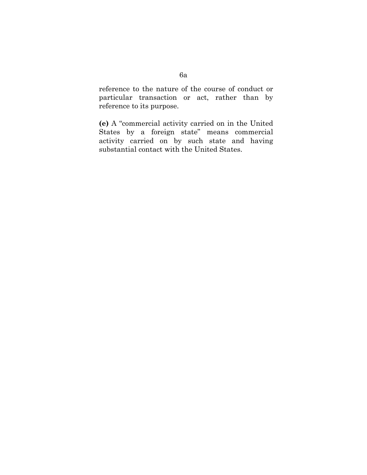reference to the nature of the course of conduct or particular transaction or act, rather than by reference to its purpose.

**(e)** A "commercial activity carried on in the United States by a foreign state" means commercial activity carried on by such state and having substantial contact with the United States.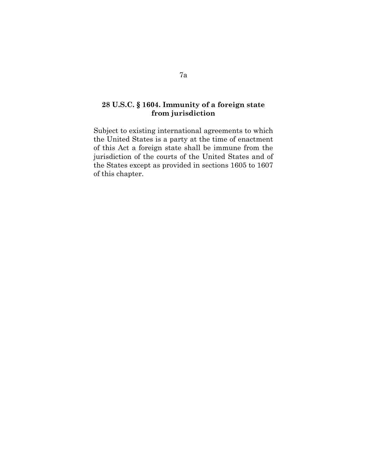# **28 U.S.C. § 1604. Immunity of a foreign state from jurisdiction**

Subject to existing international agreements to which the United States is a party at the time of enactment of this Act a foreign state shall be immune from the jurisdiction of the courts of the United States and of the States except as provided in sections 1605 to 1607 of this chapter.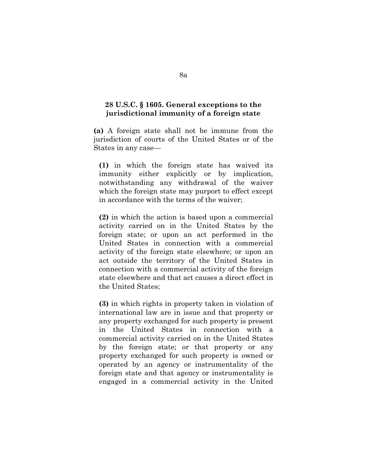## **28 U.S.C. § 1605. General exceptions to the jurisdictional immunity of a foreign state**

**(a)** A foreign state shall not be immune from the jurisdiction of courts of the United States or of the States in any case—

**(1)** in which the foreign state has waived its immunity either explicitly or by implication, notwithstanding any withdrawal of the waiver which the foreign state may purport to effect except in accordance with the terms of the waiver;

**(2)** in which the action is based upon a commercial activity carried on in the United States by the foreign state; or upon an act performed in the United States in connection with a commercial activity of the foreign state elsewhere; or upon an act outside the territory of the United States in connection with a commercial activity of the foreign state elsewhere and that act causes a direct effect in the United States;

**(3)** in which rights in property taken in violation of international law are in issue and that property or any property exchanged for such property is present in the United States in connection with a commercial activity carried on in the United States by the foreign state; or that property or any property exchanged for such property is owned or operated by an agency or instrumentality of the foreign state and that agency or instrumentality is engaged in a commercial activity in the United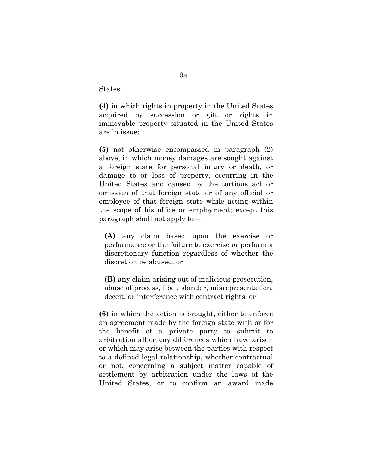States;

**(4)** in which rights in property in the United States acquired by succession or gift or rights in immovable property situated in the United States are in issue;

**(5)** not otherwise encompassed in paragraph (2) above, in which money damages are sought against a foreign state for personal injury or death, or damage to or loss of property, occurring in the United States and caused by the tortious act or omission of that foreign state or of any official or employee of that foreign state while acting within the scope of his office or employment; except this paragraph shall not apply to—

**(A)** any claim based upon the exercise or performance or the failure to exercise or perform a discretionary function regardless of whether the discretion be abused, or

**(B)** any claim arising out of malicious prosecution, abuse of process, libel, slander, misrepresentation, deceit, or interference with contract rights; or

**(6)** in which the action is brought, either to enforce an agreement made by the foreign state with or for the benefit of a private party to submit to arbitration all or any differences which have arisen or which may arise between the parties with respect to a defined legal relationship, whether contractual or not, concerning a subject matter capable of settlement by arbitration under the laws of the United States, or to confirm an award made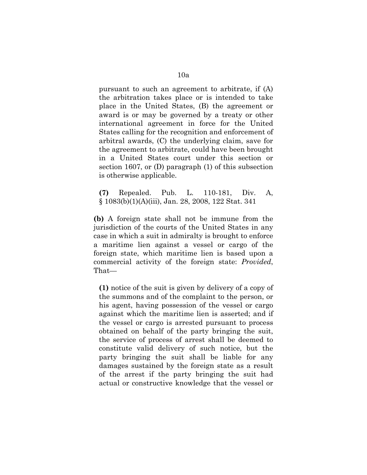pursuant to such an agreement to arbitrate, if (A) the arbitration takes place or is intended to take place in the United States, (B) the agreement or award is or may be governed by a treaty or other international agreement in force for the United States calling for the recognition and enforcement of arbitral awards, (C) the underlying claim, save for the agreement to arbitrate, could have been brought in a United States court under this section or section 1607, or (D) paragraph (1) of this subsection is otherwise applicable.

**(7)** Repealed. Pub. L. 110-181, Div. A, § 1083(b)(1)(A)(iii), Jan. 28, 2008, 122 Stat. 341

**(b)** A foreign state shall not be immune from the jurisdiction of the courts of the United States in any case in which a suit in admiralty is brought to enforce a maritime lien against a vessel or cargo of the foreign state, which maritime lien is based upon a commercial activity of the foreign state: *Provided*, That—

**(1)** notice of the suit is given by delivery of a copy of the summons and of the complaint to the person, or his agent, having possession of the vessel or cargo against which the maritime lien is asserted; and if the vessel or cargo is arrested pursuant to process obtained on behalf of the party bringing the suit, the service of process of arrest shall be deemed to constitute valid delivery of such notice, but the party bringing the suit shall be liable for any damages sustained by the foreign state as a result of the arrest if the party bringing the suit had actual or constructive knowledge that the vessel or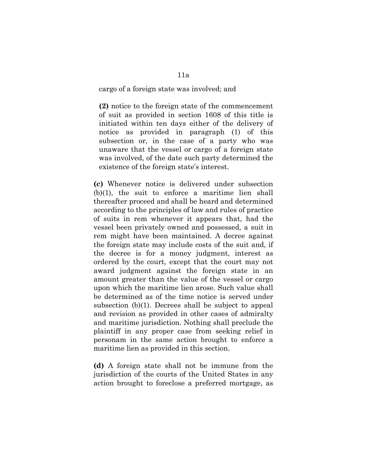#### cargo of a foreign state was involved; and

**(2)** notice to the foreign state of the commencement of suit as provided in section 1608 of this title is initiated within ten days either of the delivery of notice as provided in paragraph (1) of this subsection or, in the case of a party who was unaware that the vessel or cargo of a foreign state was involved, of the date such party determined the existence of the foreign state's interest.

**(c)** Whenever notice is delivered under subsection (b)(1), the suit to enforce a maritime lien shall thereafter proceed and shall be heard and determined according to the principles of law and rules of practice of suits in rem whenever it appears that, had the vessel been privately owned and possessed, a suit in rem might have been maintained. A decree against the foreign state may include costs of the suit and, if the decree is for a money judgment, interest as ordered by the court, except that the court may not award judgment against the foreign state in an amount greater than the value of the vessel or cargo upon which the maritime lien arose. Such value shall be determined as of the time notice is served under subsection (b)(1). Decrees shall be subject to appeal and revision as provided in other cases of admiralty and maritime jurisdiction. Nothing shall preclude the plaintiff in any proper case from seeking relief in personam in the same action brought to enforce a maritime lien as provided in this section.

**(d)** A foreign state shall not be immune from the jurisdiction of the courts of the United States in any action brought to foreclose a preferred mortgage, as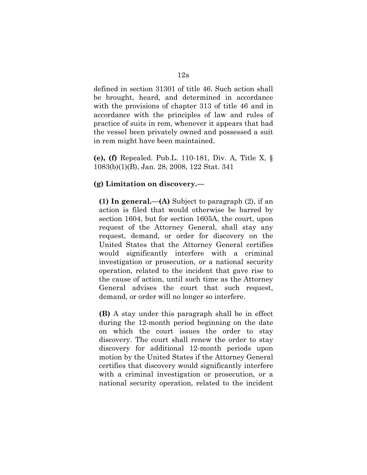defined in section 31301 of title 46. Such action shall be brought, heard, and determined in accordance with the provisions of chapter 313 of title 46 and in accordance with the principles of law and rules of practice of suits in rem, whenever it appears that had the vessel been privately owned and possessed a suit in rem might have been maintained.

**(e), (f)** Repealed. Pub.L. 110-181, Div. A, Title X, § 1083(b)(1)(B), Jan. 28, 2008, 122 Stat. 341

## **(g) Limitation on discovery.—**

**(1) In general.—(A)** Subject to paragraph (2), if an action is filed that would otherwise be barred by section 1604, but for section 1605A, the court, upon request of the Attorney General, shall stay any request, demand, or order for discovery on the United States that the Attorney General certifies would significantly interfere with a criminal investigation or prosecution, or a national security operation, related to the incident that gave rise to the cause of action, until such time as the Attorney General advises the court that such request, demand, or order will no longer so interfere.

**(B)** A stay under this paragraph shall be in effect during the 12-month period beginning on the date on which the court issues the order to stay discovery. The court shall renew the order to stay discovery for additional 12-month periods upon motion by the United States if the Attorney General certifies that discovery would significantly interfere with a criminal investigation or prosecution, or a national security operation, related to the incident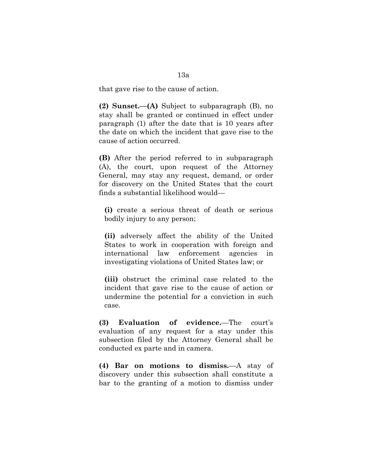**(2) Sunset.—(A)** Subject to subparagraph (B), no stay shall be granted or continued in effect under paragraph (1) after the date that is 10 years after the date on which the incident that gave rise to the cause of action occurred.

**(B)** After the period referred to in subparagraph (A), the court, upon request of the Attorney General, may stay any request, demand, or order for discovery on the United States that the court finds a substantial likelihood would—

**(i)** create a serious threat of death or serious bodily injury to any person;

**(ii)** adversely affect the ability of the United States to work in cooperation with foreign and international law enforcement agencies in investigating violations of United States law; or

**(iii)** obstruct the criminal case related to the incident that gave rise to the cause of action or undermine the potential for a conviction in such case.

**(3) Evaluation of evidence.**—The court's evaluation of any request for a stay under this subsection filed by the Attorney General shall be conducted ex parte and in camera.

**(4) Bar on motions to dismiss.**—A stay of discovery under this subsection shall constitute a bar to the granting of a motion to dismiss under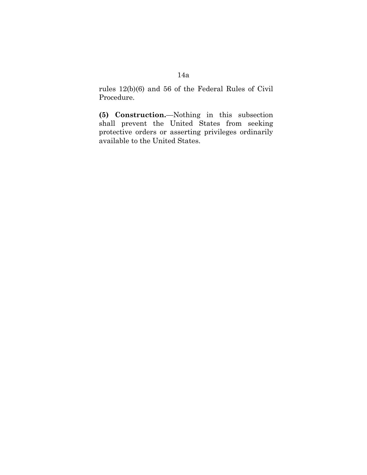rules 12(b)(6) and 56 of the Federal Rules of Civil Procedure.

**(5) Construction.**—Nothing in this subsection shall prevent the United States from seeking protective orders or asserting privileges ordinarily available to the United States.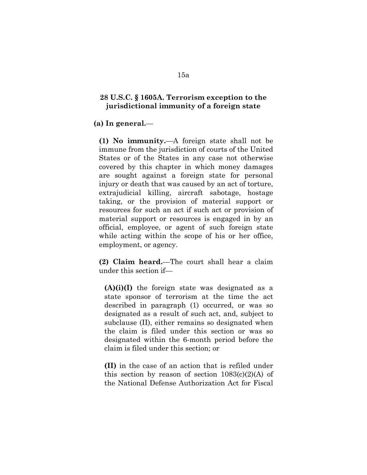### **28 U.S.C. § 1605A. Terrorism exception to the jurisdictional immunity of a foreign state**

**(a) In general.**—

**(1) No immunity.**—A foreign state shall not be immune from the jurisdiction of courts of the United States or of the States in any case not otherwise covered by this chapter in which money damages are sought against a foreign state for personal injury or death that was caused by an act of torture, extrajudicial killing, aircraft sabotage, hostage taking, or the provision of material support or resources for such an act if such act or provision of material support or resources is engaged in by an official, employee, or agent of such foreign state while acting within the scope of his or her office, employment, or agency.

**(2) Claim heard.**—The court shall hear a claim under this section if—

**(A)(i)(I)** the foreign state was designated as a state sponsor of terrorism at the time the act described in paragraph (1) occurred, or was so designated as a result of such act, and, subject to subclause (II), either remains so designated when the claim is filed under this section or was so designated within the 6-month period before the claim is filed under this section; or

**(II)** in the case of an action that is refiled under this section by reason of section  $1083(c)(2)(A)$  of the National Defense Authorization Act for Fiscal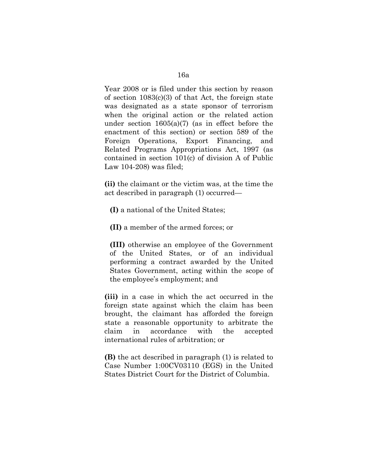Year 2008 or is filed under this section by reason of section 1083(c)(3) of that Act, the foreign state was designated as a state sponsor of terrorism when the original action or the related action under section 1605(a)(7) (as in effect before the enactment of this section) or section 589 of the Foreign Operations, Export Financing, and Related Programs Appropriations Act, 1997 (as contained in section 101(c) of division A of Public Law 104-208) was filed;

**(ii)** the claimant or the victim was, at the time the act described in paragraph (1) occurred—

**(I)** a national of the United States;

**(II)** a member of the armed forces; or

**(III)** otherwise an employee of the Government of the United States, or of an individual performing a contract awarded by the United States Government, acting within the scope of the employee's employment; and

**(iii)** in a case in which the act occurred in the foreign state against which the claim has been brought, the claimant has afforded the foreign state a reasonable opportunity to arbitrate the claim in accordance with the accepted international rules of arbitration; or

**(B)** the act described in paragraph (1) is related to Case Number 1:00CV03110 (EGS) in the United States District Court for the District of Columbia.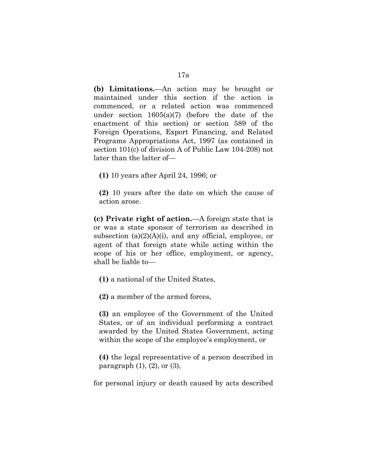**(b) Limitations.**—An action may be brought or maintained under this section if the action is commenced, or a related action was commenced under section 1605(a)(7) (before the date of the enactment of this section) or section 589 of the Foreign Operations, Export Financing, and Related Programs Appropriations Act, 1997 (as contained in section 101(c) of division A of Public Law 104-208) not later than the latter of—

**(1)** 10 years after April 24, 1996; or

**(2)** 10 years after the date on which the cause of action arose.

**(c) Private right of action.**—A foreign state that is or was a state sponsor of terrorism as described in subsection  $(a)(2)(A)(i)$ , and any official, employee, or agent of that foreign state while acting within the scope of his or her office, employment, or agency, shall be liable to—

**(1)** a national of the United States,

**(2)** a member of the armed forces,

**(3)** an employee of the Government of the United States, or of an individual performing a contract awarded by the United States Government, acting within the scope of the employee's employment, or

**(4)** the legal representative of a person described in paragraph  $(1)$ ,  $(2)$ , or  $(3)$ ,

for personal injury or death caused by acts described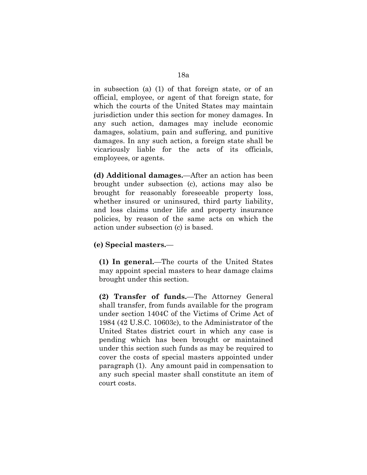in subsection (a) (1) of that foreign state, or of an official, employee, or agent of that foreign state, for which the courts of the United States may maintain jurisdiction under this section for money damages. In any such action, damages may include economic damages, solatium, pain and suffering, and punitive damages. In any such action, a foreign state shall be vicariously liable for the acts of its officials, employees, or agents.

**(d) Additional damages.**—After an action has been brought under subsection (c), actions may also be brought for reasonably foreseeable property loss, whether insured or uninsured, third party liability, and loss claims under life and property insurance policies, by reason of the same acts on which the action under subsection (c) is based.

### **(e) Special masters.**—

**(1) In general.**—The courts of the United States may appoint special masters to hear damage claims brought under this section.

**(2) Transfer of funds.**—The Attorney General shall transfer, from funds available for the program under section 1404C of the Victims of Crime Act of 1984 (42 U.S.C. 10603c), to the Administrator of the United States district court in which any case is pending which has been brought or maintained under this section such funds as may be required to cover the costs of special masters appointed under paragraph (1). Any amount paid in compensation to any such special master shall constitute an item of court costs.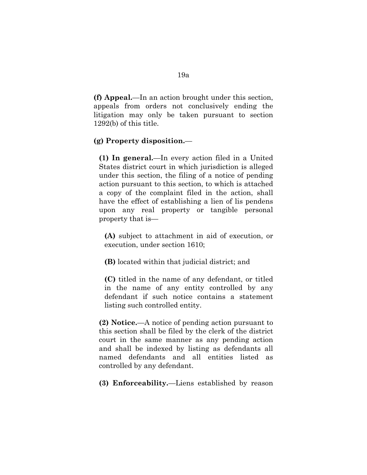**(f) Appeal.**—In an action brought under this section, appeals from orders not conclusively ending the litigation may only be taken pursuant to section 1292(b) of this title.

### **(g) Property disposition.**—

**(1) In general.**—In every action filed in a United States district court in which jurisdiction is alleged under this section, the filing of a notice of pending action pursuant to this section, to which is attached a copy of the complaint filed in the action, shall have the effect of establishing a lien of lis pendens upon any real property or tangible personal property that is—

**(A)** subject to attachment in aid of execution, or execution, under section 1610;

**(B)** located within that judicial district; and

**(C)** titled in the name of any defendant, or titled in the name of any entity controlled by any defendant if such notice contains a statement listing such controlled entity.

**(2) Notice.**—A notice of pending action pursuant to this section shall be filed by the clerk of the district court in the same manner as any pending action and shall be indexed by listing as defendants all named defendants and all entities listed as controlled by any defendant.

**(3) Enforceability.**—Liens established by reason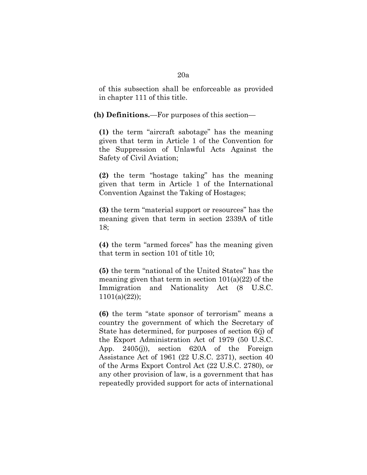of this subsection shall be enforceable as provided in chapter 111 of this title.

#### **(h) Definitions.**—For purposes of this section—

**(1)** the term "aircraft sabotage" has the meaning given that term in Article 1 of the Convention for the Suppression of Unlawful Acts Against the Safety of Civil Aviation;

**(2)** the term "hostage taking" has the meaning given that term in Article 1 of the International Convention Against the Taking of Hostages;

**(3)** the term "material support or resources" has the meaning given that term in section 2339A of title 18;

**(4)** the term "armed forces" has the meaning given that term in section 101 of title 10;

**(5)** the term "national of the United States" has the meaning given that term in section  $101(a)(22)$  of the Immigration and Nationality Act (8 U.S.C. 1101(a)(22));

**(6)** the term "state sponsor of terrorism" means a country the government of which the Secretary of State has determined, for purposes of section 6(j) of the Export Administration Act of 1979 (50 U.S.C. App. 2405(j)), section 620A of the Foreign Assistance Act of 1961 (22 U.S.C. 2371), section 40 of the Arms Export Control Act (22 U.S.C. 2780), or any other provision of law, is a government that has repeatedly provided support for acts of international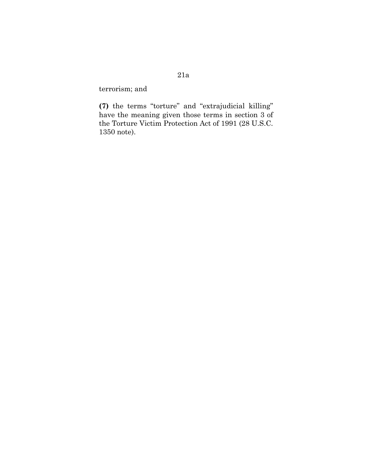terrorism; and

**(7)** the terms "torture" and "extrajudicial killing" have the meaning given those terms in section 3 of the Torture Victim Protection Act of 1991 (28 U.S.C. 1350 note).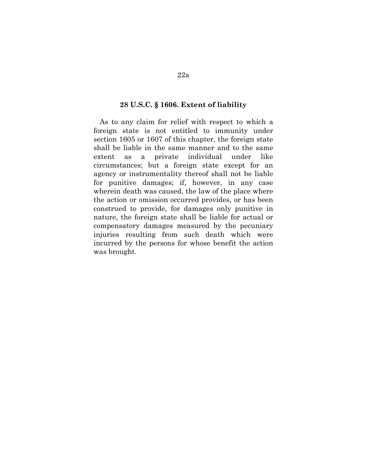#### **28 U.S.C. § 1606. Extent of liability**

 As to any claim for relief with respect to which a foreign state is not entitled to immunity under section 1605 or 1607 of this chapter, the foreign state shall be liable in the same manner and to the same extent as a private individual under like circumstances; but a foreign state except for an agency or instrumentality thereof shall not be liable for punitive damages; if, however, in any case wherein death was caused, the law of the place where the action or omission occurred provides, or has been construed to provide, for damages only punitive in nature, the foreign state shall be liable for actual or compensatory damages measured by the pecuniary injuries resulting from such death which were incurred by the persons for whose benefit the action was brought.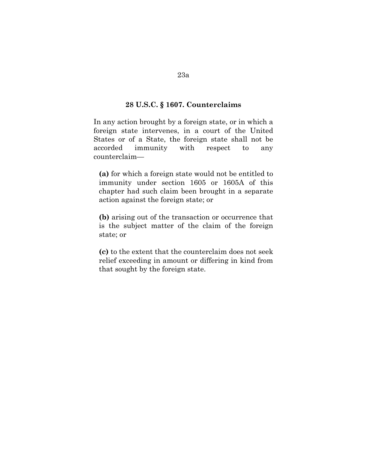# **28 U.S.C. § 1607. Counterclaims**

In any action brought by a foreign state, or in which a foreign state intervenes, in a court of the United States or of a State, the foreign state shall not be accorded immunity with respect to any counterclaim—

**(a)** for which a foreign state would not be entitled to immunity under section 1605 or 1605A of this chapter had such claim been brought in a separate action against the foreign state; or

**(b)** arising out of the transaction or occurrence that is the subject matter of the claim of the foreign state; or

**(c)** to the extent that the counterclaim does not seek relief exceeding in amount or differing in kind from that sought by the foreign state.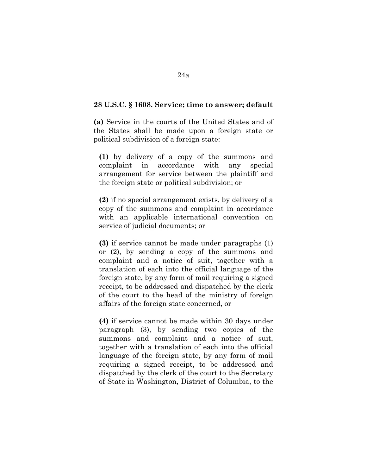#### **28 U.S.C. § 1608. Service; time to answer; default**

**(a)** Service in the courts of the United States and of the States shall be made upon a foreign state or political subdivision of a foreign state:

**(1)** by delivery of a copy of the summons and complaint in accordance with any special arrangement for service between the plaintiff and the foreign state or political subdivision; or

**(2)** if no special arrangement exists, by delivery of a copy of the summons and complaint in accordance with an applicable international convention on service of judicial documents; or

**(3)** if service cannot be made under paragraphs (1) or (2), by sending a copy of the summons and complaint and a notice of suit, together with a translation of each into the official language of the foreign state, by any form of mail requiring a signed receipt, to be addressed and dispatched by the clerk of the court to the head of the ministry of foreign affairs of the foreign state concerned, or

**(4)** if service cannot be made within 30 days under paragraph (3), by sending two copies of the summons and complaint and a notice of suit, together with a translation of each into the official language of the foreign state, by any form of mail requiring a signed receipt, to be addressed and dispatched by the clerk of the court to the Secretary of State in Washington, District of Columbia, to the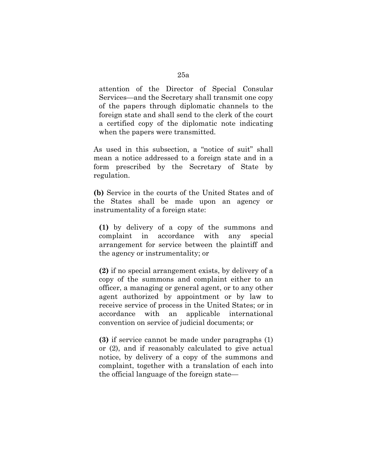attention of the Director of Special Consular Services—and the Secretary shall transmit one copy of the papers through diplomatic channels to the foreign state and shall send to the clerk of the court a certified copy of the diplomatic note indicating when the papers were transmitted.

As used in this subsection, a "notice of suit" shall mean a notice addressed to a foreign state and in a form prescribed by the Secretary of State by regulation.

**(b)** Service in the courts of the United States and of the States shall be made upon an agency or instrumentality of a foreign state:

**(1)** by delivery of a copy of the summons and complaint in accordance with any special arrangement for service between the plaintiff and the agency or instrumentality; or

**(2)** if no special arrangement exists, by delivery of a copy of the summons and complaint either to an officer, a managing or general agent, or to any other agent authorized by appointment or by law to receive service of process in the United States; or in accordance with an applicable international convention on service of judicial documents; or

**(3)** if service cannot be made under paragraphs (1) or (2), and if reasonably calculated to give actual notice, by delivery of a copy of the summons and complaint, together with a translation of each into the official language of the foreign state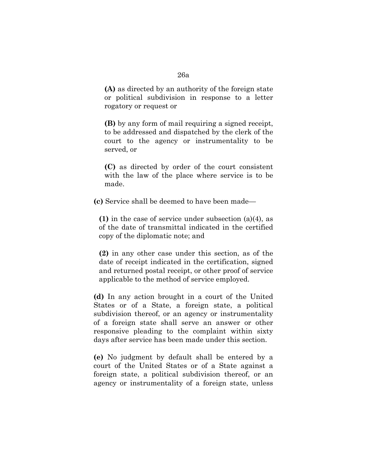**(A)** as directed by an authority of the foreign state or political subdivision in response to a letter rogatory or request or

**(B)** by any form of mail requiring a signed receipt, to be addressed and dispatched by the clerk of the court to the agency or instrumentality to be served, or

**(C)** as directed by order of the court consistent with the law of the place where service is to be made.

**(c)** Service shall be deemed to have been made—

**(1)** in the case of service under subsection (a)(4), as of the date of transmittal indicated in the certified copy of the diplomatic note; and

**(2)** in any other case under this section, as of the date of receipt indicated in the certification, signed and returned postal receipt, or other proof of service applicable to the method of service employed.

**(d)** In any action brought in a court of the United States or of a State, a foreign state, a political subdivision thereof, or an agency or instrumentality of a foreign state shall serve an answer or other responsive pleading to the complaint within sixty days after service has been made under this section.

**(e)** No judgment by default shall be entered by a court of the United States or of a State against a foreign state, a political subdivision thereof, or an agency or instrumentality of a foreign state, unless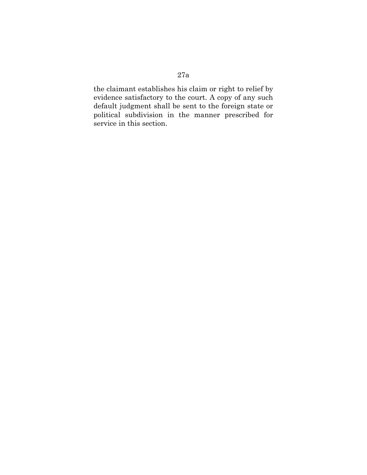# the claimant establishes his claim or right to relief by evidence satisfactory to the court. A copy of any such default judgment shall be sent to the foreign state or political subdivision in the manner prescribed for service in this section.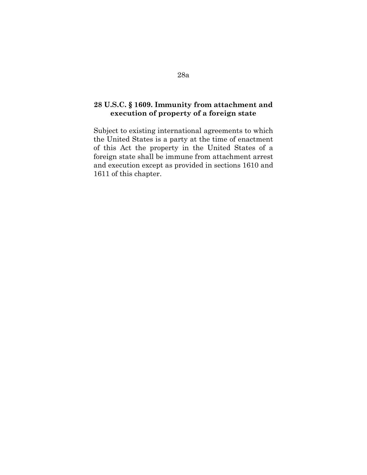## **28 U.S.C. § 1609. Immunity from attachment and execution of property of a foreign state**

Subject to existing international agreements to which the United States is a party at the time of enactment of this Act the property in the United States of a foreign state shall be immune from attachment arrest and execution except as provided in sections 1610 and 1611 of this chapter.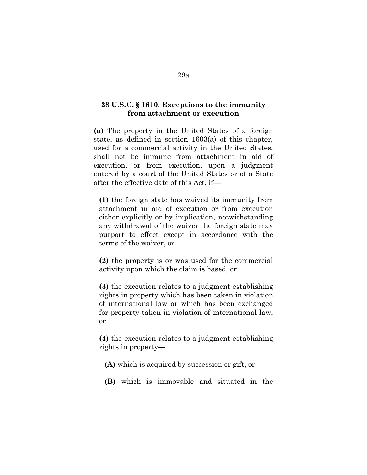### **28 U.S.C. § 1610. Exceptions to the immunity from attachment or execution**

**(a)** The property in the United States of a foreign state, as defined in section 1603(a) of this chapter, used for a commercial activity in the United States, shall not be immune from attachment in aid of execution, or from execution, upon a judgment entered by a court of the United States or of a State after the effective date of this Act, if—

**(1)** the foreign state has waived its immunity from attachment in aid of execution or from execution either explicitly or by implication, notwithstanding any withdrawal of the waiver the foreign state may purport to effect except in accordance with the terms of the waiver, or

**(2)** the property is or was used for the commercial activity upon which the claim is based, or

**(3)** the execution relates to a judgment establishing rights in property which has been taken in violation of international law or which has been exchanged for property taken in violation of international law, or

**(4)** the execution relates to a judgment establishing rights in property—

- **(A)** which is acquired by succession or gift, or
- **(B)** which is immovable and situated in the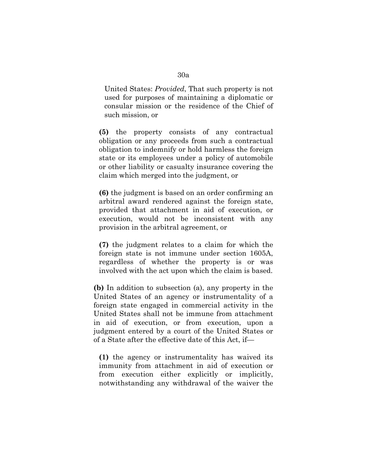United States: *Provided*, That such property is not used for purposes of maintaining a diplomatic or consular mission or the residence of the Chief of such mission, or

**(5)** the property consists of any contractual obligation or any proceeds from such a contractual obligation to indemnify or hold harmless the foreign state or its employees under a policy of automobile or other liability or casualty insurance covering the claim which merged into the judgment, or

**(6)** the judgment is based on an order confirming an arbitral award rendered against the foreign state, provided that attachment in aid of execution, or execution, would not be inconsistent with any provision in the arbitral agreement, or

**(7)** the judgment relates to a claim for which the foreign state is not immune under section 1605A, regardless of whether the property is or was involved with the act upon which the claim is based.

**(b)** In addition to subsection (a), any property in the United States of an agency or instrumentality of a foreign state engaged in commercial activity in the United States shall not be immune from attachment in aid of execution, or from execution, upon a judgment entered by a court of the United States or of a State after the effective date of this Act, if—

**(1)** the agency or instrumentality has waived its immunity from attachment in aid of execution or from execution either explicitly or implicitly, notwithstanding any withdrawal of the waiver the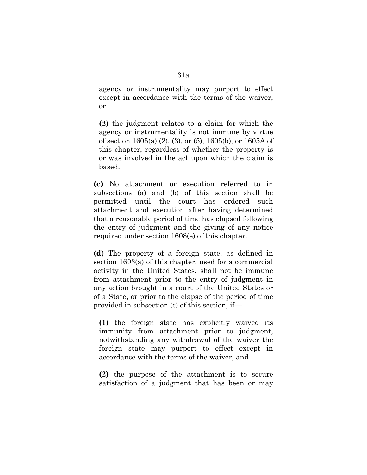agency or instrumentality may purport to effect except in accordance with the terms of the waiver, or

**(2)** the judgment relates to a claim for which the agency or instrumentality is not immune by virtue of section 1605(a) (2), (3), or (5), 1605(b), or 1605A of this chapter, regardless of whether the property is or was involved in the act upon which the claim is based.

**(c)** No attachment or execution referred to in subsections (a) and (b) of this section shall be permitted until the court has ordered such attachment and execution after having determined that a reasonable period of time has elapsed following the entry of judgment and the giving of any notice required under section 1608(e) of this chapter.

**(d)** The property of a foreign state, as defined in section 1603(a) of this chapter, used for a commercial activity in the United States, shall not be immune from attachment prior to the entry of judgment in any action brought in a court of the United States or of a State, or prior to the elapse of the period of time provided in subsection (c) of this section, if—

**(1)** the foreign state has explicitly waived its immunity from attachment prior to judgment, notwithstanding any withdrawal of the waiver the foreign state may purport to effect except in accordance with the terms of the waiver, and

**(2)** the purpose of the attachment is to secure satisfaction of a judgment that has been or may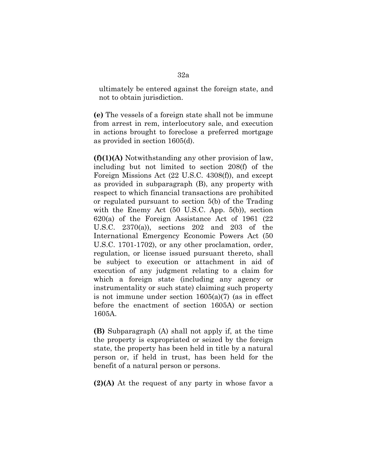ultimately be entered against the foreign state, and not to obtain jurisdiction.

**(e)** The vessels of a foreign state shall not be immune from arrest in rem, interlocutory sale, and execution in actions brought to foreclose a preferred mortgage as provided in section 1605(d).

**(f)(1)(A)** Notwithstanding any other provision of law, including but not limited to section 208(f) of the Foreign Missions Act (22 U.S.C. 4308(f)), and except as provided in subparagraph (B), any property with respect to which financial transactions are prohibited or regulated pursuant to section 5(b) of the Trading with the Enemy Act (50 U.S.C. App. 5(b)), section 620(a) of the Foreign Assistance Act of 1961 (22 U.S.C. 2370(a)), sections 202 and 203 of the International Emergency Economic Powers Act (50 U.S.C. 1701-1702), or any other proclamation, order, regulation, or license issued pursuant thereto, shall be subject to execution or attachment in aid of execution of any judgment relating to a claim for which a foreign state (including any agency or instrumentality or such state) claiming such property is not immune under section 1605(a)(7) (as in effect before the enactment of section 1605A) or section 1605A.

**(B)** Subparagraph (A) shall not apply if, at the time the property is expropriated or seized by the foreign state, the property has been held in title by a natural person or, if held in trust, has been held for the benefit of a natural person or persons.

**(2)(A)** At the request of any party in whose favor a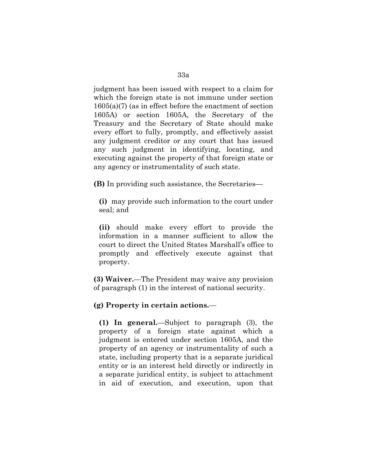judgment has been issued with respect to a claim for which the foreign state is not immune under section 1605(a)(7) (as in effect before the enactment of section 1605A) or section 1605A, the Secretary of the Treasury and the Secretary of State should make every effort to fully, promptly, and effectively assist any judgment creditor or any court that has issued any such judgment in identifying, locating, and executing against the property of that foreign state or any agency or instrumentality of such state.

**(B)** In providing such assistance, the Secretaries—

**(i)** may provide such information to the court under seal; and

**(ii)** should make every effort to provide the information in a manner sufficient to allow the court to direct the United States Marshall's office to promptly and effectively execute against that property.

**(3) Waiver.**—The President may waive any provision of paragraph (1) in the interest of national security.

## **(g) Property in certain actions.**—

**(1) In general.**—Subject to paragraph (3), the property of a foreign state against which a judgment is entered under section 1605A, and the property of an agency or instrumentality of such a state, including property that is a separate juridical entity or is an interest held directly or indirectly in a separate juridical entity, is subject to attachment in aid of execution, and execution, upon that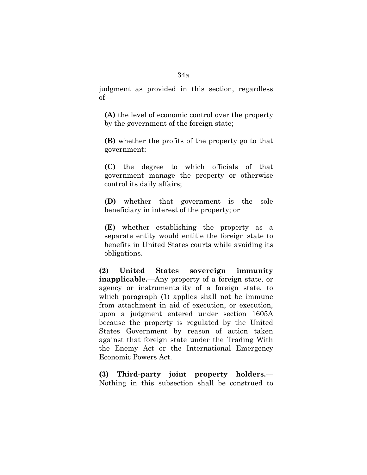judgment as provided in this section, regardless of—

**(A)** the level of economic control over the property by the government of the foreign state;

**(B)** whether the profits of the property go to that government;

**(C)** the degree to which officials of that government manage the property or otherwise control its daily affairs;

**(D)** whether that government is the sole beneficiary in interest of the property; or

**(E)** whether establishing the property as a separate entity would entitle the foreign state to benefits in United States courts while avoiding its obligations.

**(2) United States sovereign immunity inapplicable.**—Any property of a foreign state, or agency or instrumentality of a foreign state, to which paragraph (1) applies shall not be immune from attachment in aid of execution, or execution, upon a judgment entered under section 1605A because the property is regulated by the United States Government by reason of action taken against that foreign state under the Trading With the Enemy Act or the International Emergency Economic Powers Act.

**(3) Third-party joint property holders.**— Nothing in this subsection shall be construed to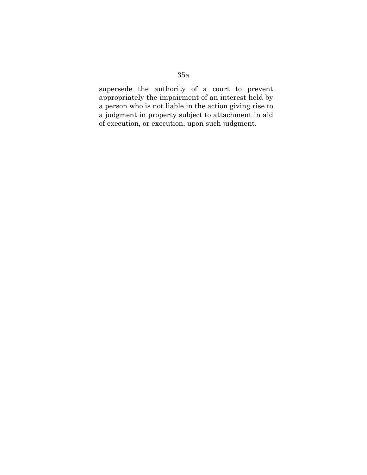# 35a

supersede the authority of a court to prevent appropriately the impairment of an interest held by a person who is not liable in the action giving rise to a judgment in property subject to attachment in aid of execution, or execution, upon such judgment.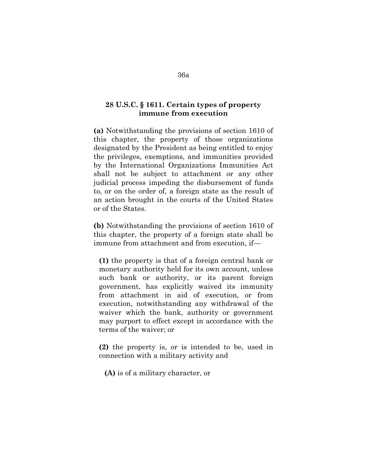## **28 U.S.C. § 1611. Certain types of property immune from execution**

**(a)** Notwithstanding the provisions of section 1610 of this chapter, the property of those organizations designated by the President as being entitled to enjoy the privileges, exemptions, and immunities provided by the International Organizations Immunities Act shall not be subject to attachment or any other judicial process impeding the disbursement of funds to, or on the order of, a foreign state as the result of an action brought in the courts of the United States or of the States.

**(b)** Notwithstanding the provisions of section 1610 of this chapter, the property of a foreign state shall be immune from attachment and from execution, if—

**(1)** the property is that of a foreign central bank or monetary authority held for its own account, unless such bank or authority, or its parent foreign government, has explicitly waived its immunity from attachment in aid of execution, or from execution, notwithstanding any withdrawal of the waiver which the bank, authority or government may purport to effect except in accordance with the terms of the waiver; or

**(2)** the property is, or is intended to be, used in connection with a military activity and

**(A)** is of a military character, or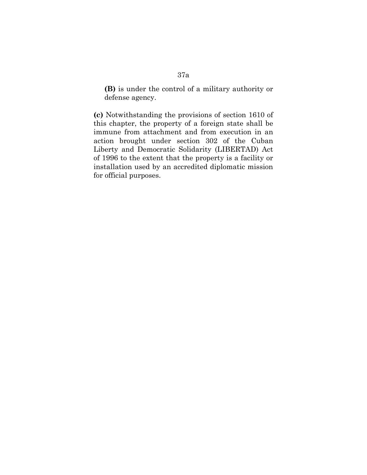**(B)** is under the control of a military authority or defense agency.

**(c)** Notwithstanding the provisions of section 1610 of this chapter, the property of a foreign state shall be immune from attachment and from execution in an action brought under section 302 of the Cuban Liberty and Democratic Solidarity (LIBERTAD) Act of 1996 to the extent that the property is a facility or installation used by an accredited diplomatic mission for official purposes.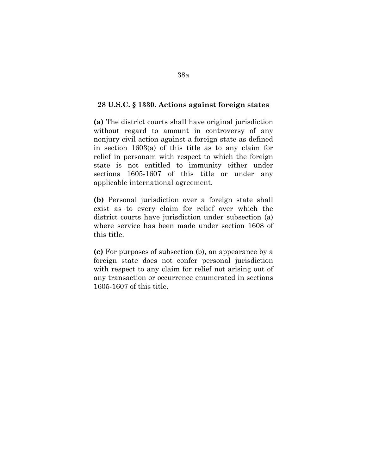#### **28 U.S.C. § 1330. Actions against foreign states**

**(a)** The district courts shall have original jurisdiction without regard to amount in controversy of any nonjury civil action against a foreign state as defined in section 1603(a) of this title as to any claim for relief in personam with respect to which the foreign state is not entitled to immunity either under sections 1605-1607 of this title or under any applicable international agreement.

**(b)** Personal jurisdiction over a foreign state shall exist as to every claim for relief over which the district courts have jurisdiction under subsection (a) where service has been made under section 1608 of this title.

**(c)** For purposes of subsection (b), an appearance by a foreign state does not confer personal jurisdiction with respect to any claim for relief not arising out of any transaction or occurrence enumerated in sections 1605-1607 of this title.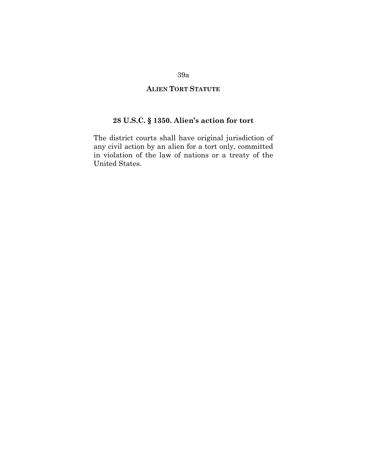# **ALIEN TORT STATUTE**

# **28 U.S.C. § 1350. Alien's action for tort**

The district courts shall have original jurisdiction of any civil action by an alien for a tort only, committed in violation of the law of nations or a treaty of the United States.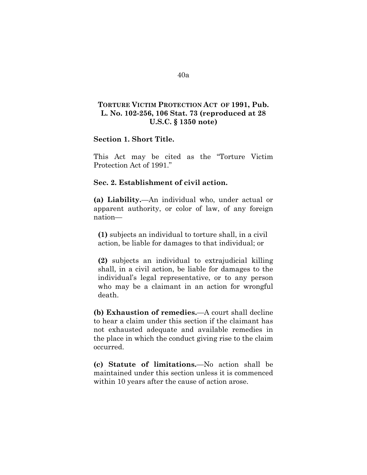# **TORTURE VICTIM PROTECTION ACT OF 1991, Pub. L. No. 102-256, 106 Stat. 73 (reproduced at 28 U.S.C. § 1350 note)**

### **Section 1. Short Title.**

This Act may be cited as the "Torture Victim Protection Act of 1991."

#### **Sec. 2. Establishment of civil action.**

**(a) Liability.**—An individual who, under actual or apparent authority, or color of law, of any foreign nation—

**(1)** subjects an individual to torture shall, in a civil action, be liable for damages to that individual; or

**(2)** subjects an individual to extrajudicial killing shall, in a civil action, be liable for damages to the individual's legal representative, or to any person who may be a claimant in an action for wrongful death.

**(b) Exhaustion of remedies.**—A court shall decline to hear a claim under this section if the claimant has not exhausted adequate and available remedies in the place in which the conduct giving rise to the claim occurred.

**(c) Statute of limitations.**—No action shall be maintained under this section unless it is commenced within 10 years after the cause of action arose.

### 40a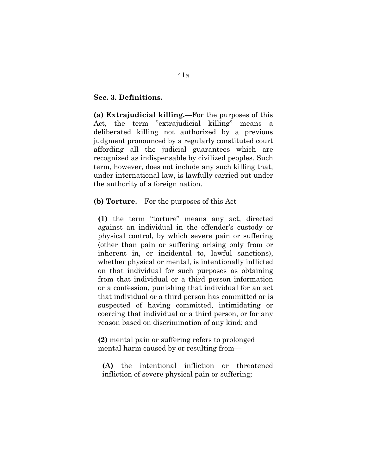### **Sec. 3. Definitions.**

**(a) Extrajudicial killing.**—For the purposes of this Act, the term "extrajudicial killing" means a deliberated killing not authorized by a previous judgment pronounced by a regularly constituted court affording all the judicial guarantees which are recognized as indispensable by civilized peoples. Such term, however, does not include any such killing that, under international law, is lawfully carried out under the authority of a foreign nation.

**(b) Torture.**—For the purposes of this Act—

**(1)** the term "torture" means any act, directed against an individual in the offender's custody or physical control, by which severe pain or suffering (other than pain or suffering arising only from or inherent in, or incidental to, lawful sanctions), whether physical or mental, is intentionally inflicted on that individual for such purposes as obtaining from that individual or a third person information or a confession, punishing that individual for an act that individual or a third person has committed or is suspected of having committed, intimidating or coercing that individual or a third person, or for any reason based on discrimination of any kind; and

**(2)** mental pain or suffering refers to prolonged mental harm caused by or resulting from—

**(A)** the intentional infliction or threatened infliction of severe physical pain or suffering;